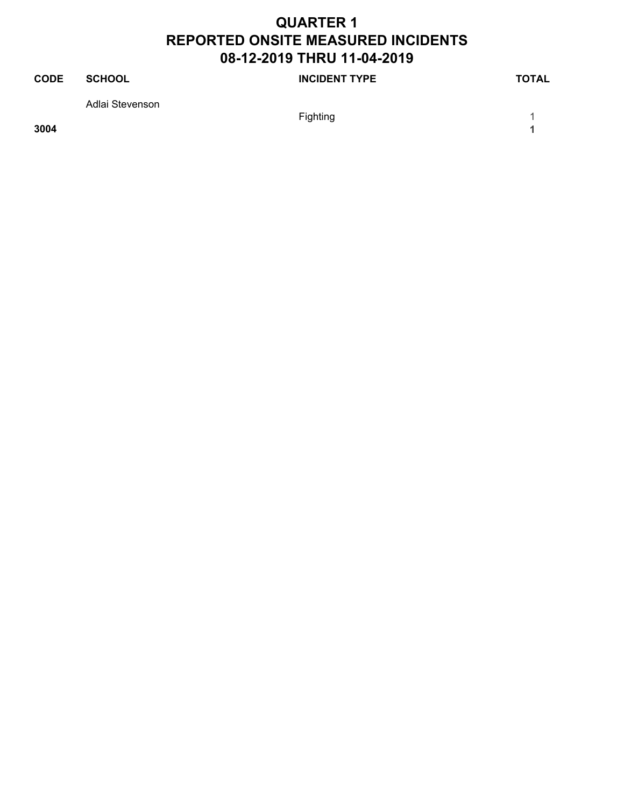| <b>CODE</b> | SCHOOL          | <b>INCIDENT TYPE</b> | <b>TOTAL</b> |
|-------------|-----------------|----------------------|--------------|
|             | Adlai Stevenson |                      |              |
|             |                 | Fighting             |              |

**3004 1**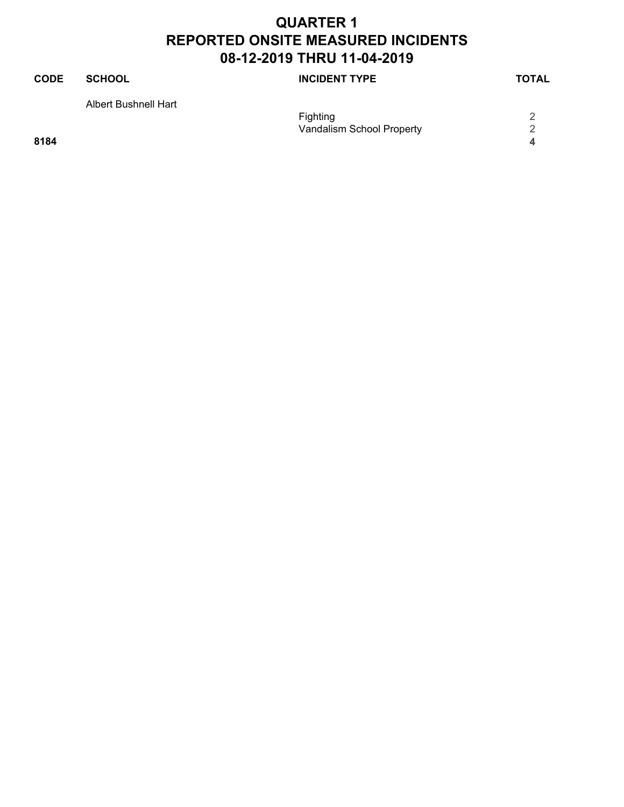Vandalism School Property<br>4

# **CODE SCHOOL SCHOOL INCIDENT TYPE TOTAL** Albert Bushnell Hart Fighting 2<br>Vandalism School Property 2

**8184 4**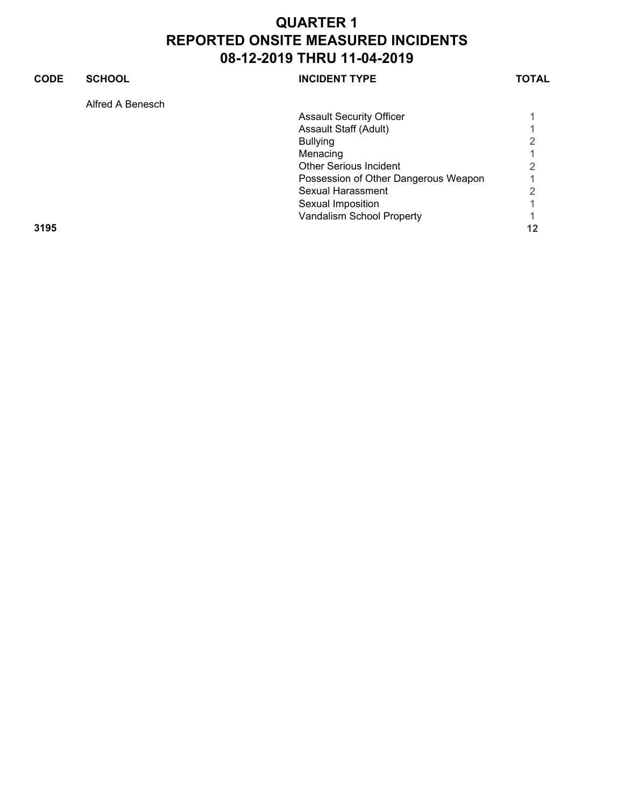| <b>CODE</b> | <b>SCHOOL</b>    | <b>INCIDENT TYPE</b>                 | TOTAL |
|-------------|------------------|--------------------------------------|-------|
|             | Alfred A Benesch |                                      |       |
|             |                  | <b>Assault Security Officer</b>      |       |
|             |                  | Assault Staff (Adult)                |       |
|             |                  | <b>Bullying</b>                      | ⌒     |
|             |                  | Menacing                             |       |
|             |                  | <b>Other Serious Incident</b>        | ◠     |
|             |                  | Possession of Other Dangerous Weapon |       |
|             |                  | Sexual Harassment                    | 2     |
|             |                  | Sexual Imposition                    |       |
|             |                  | Vandalism School Property            |       |
| 3195        |                  |                                      | 12    |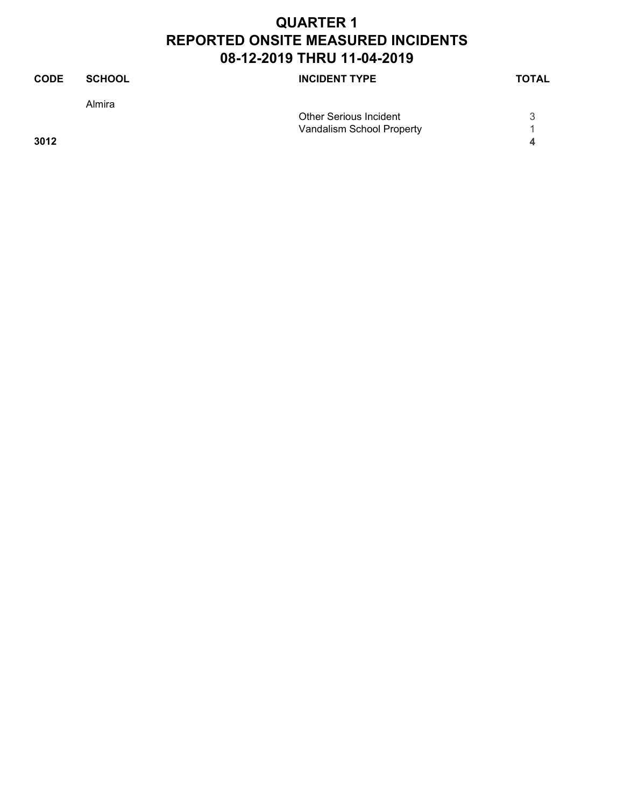| <b>CODE</b> | <b>SCHOOL</b> | <b>INCIDENT TYPE</b>          | <b>TOTAL</b> |
|-------------|---------------|-------------------------------|--------------|
|             | Almira        |                               |              |
|             |               | <b>Other Serious Incident</b> |              |
|             |               | Vandalism School Property     |              |
| 3012        |               |                               | △            |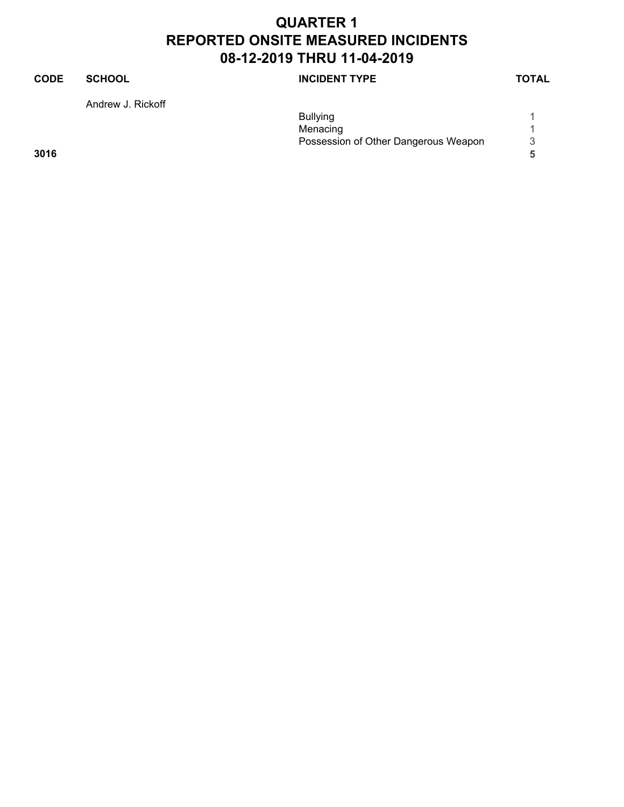### **CODE SCHOOL SCHOOL INCIDENT TYPE TOTAL**

Andrew J. Rickoff

|      | <b>Bullying</b>                      |   |
|------|--------------------------------------|---|
|      | Menacing                             |   |
|      | Possession of Other Dangerous Weapon | 3 |
| 3016 |                                      |   |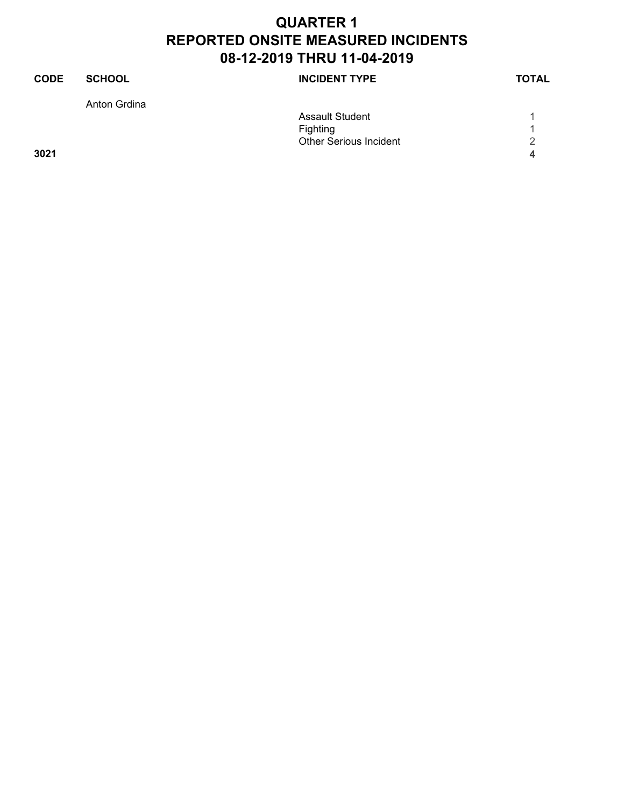| <b>SCHOOL</b> | <b>INCIDENT TYPE</b>          | <b>TOTAL</b> |
|---------------|-------------------------------|--------------|
| Anton Grdina  |                               |              |
|               | <b>Assault Student</b>        |              |
|               | Fighting                      |              |
|               | <b>Other Serious Incident</b> | 2            |
|               |                               | 4            |
|               |                               |              |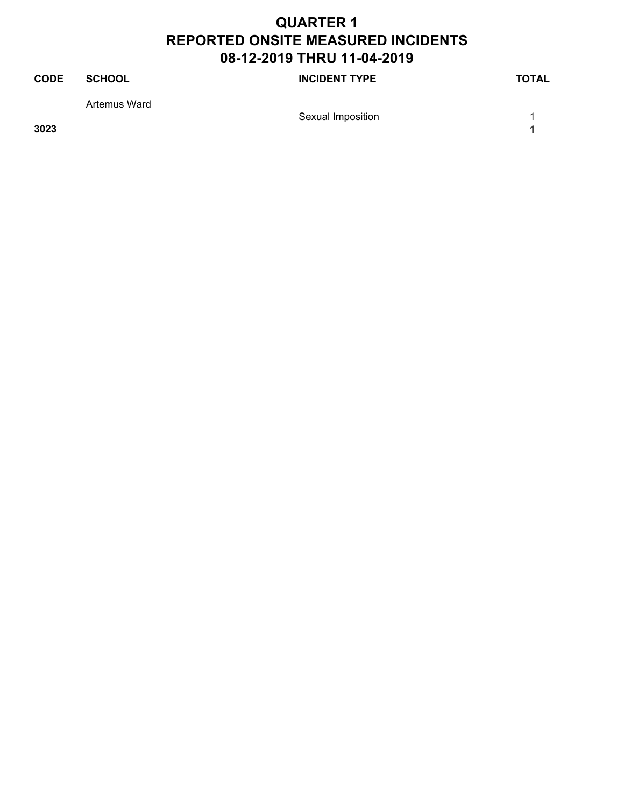| <b>CODE</b> | SCHOOL       | <b>INCIDENT TYPE</b> | <b>TOTAL</b> |
|-------------|--------------|----------------------|--------------|
|             | Artemus Ward |                      |              |
|             |              | Sexual Imposition    |              |

**3023 1**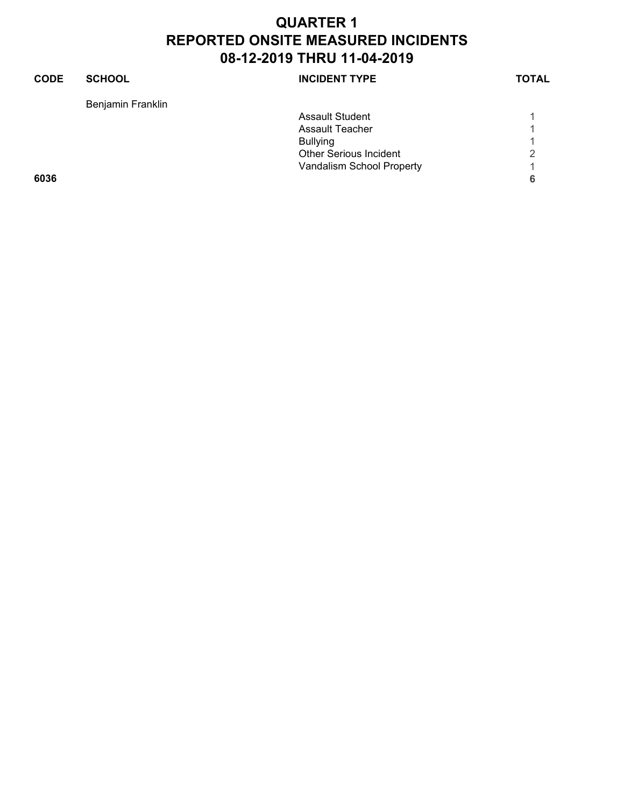| <b>CODE</b> | <b>SCHOOL</b>     | <b>INCIDENT TYPE</b>          | <b>TOTAL</b> |
|-------------|-------------------|-------------------------------|--------------|
|             | Benjamin Franklin |                               |              |
|             |                   | <b>Assault Student</b>        |              |
|             |                   | Assault Teacher               |              |
|             |                   | <b>Bullying</b>               |              |
|             |                   | <b>Other Serious Incident</b> | 2            |
|             |                   | Vandalism School Property     |              |
| 6036        |                   |                               | 6            |
|             |                   |                               |              |
|             |                   |                               |              |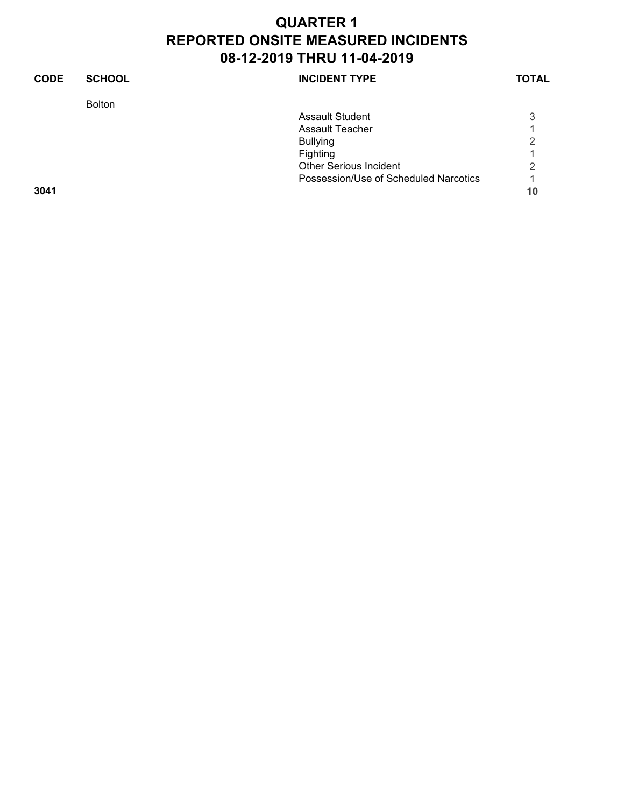| <b>CODE</b> | <b>SCHOOL</b> | <b>INCIDENT TYPE</b>                  | <b>TOTAL</b> |
|-------------|---------------|---------------------------------------|--------------|
|             | <b>Bolton</b> |                                       |              |
|             |               | Assault Student                       | 3            |
|             |               | Assault Teacher                       |              |
|             |               | <b>Bullying</b>                       | ⌒            |
|             |               | Fighting                              |              |
|             |               | <b>Other Serious Incident</b>         | 2            |
|             |               | Possession/Use of Scheduled Narcotics |              |
| 3041        |               |                                       | 10           |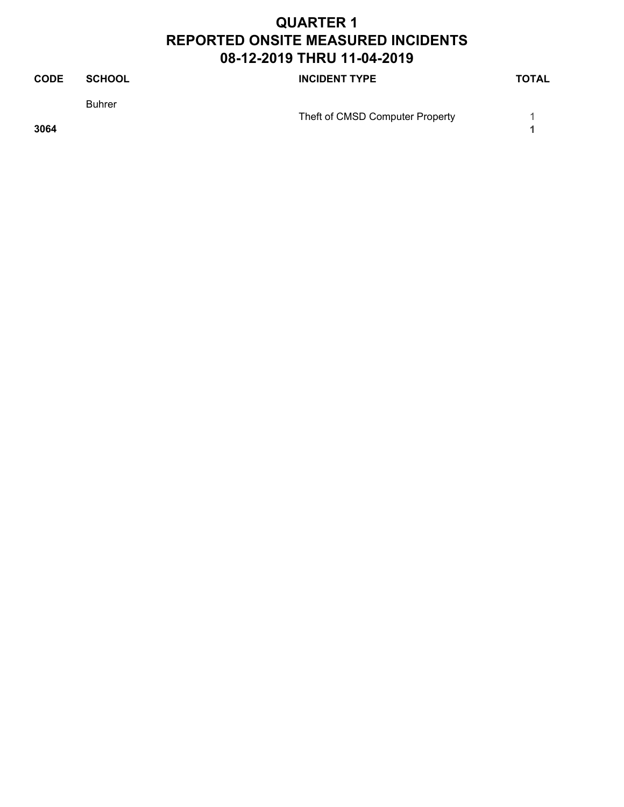| <b>CODE</b> | <b>SCHOOL</b> | <b>INCIDENT TYPE</b>            | <b>TOTAL</b> |
|-------------|---------------|---------------------------------|--------------|
|             | <b>Buhrer</b> | Theft of CMSD Computer Property |              |
| 3064        |               |                                 |              |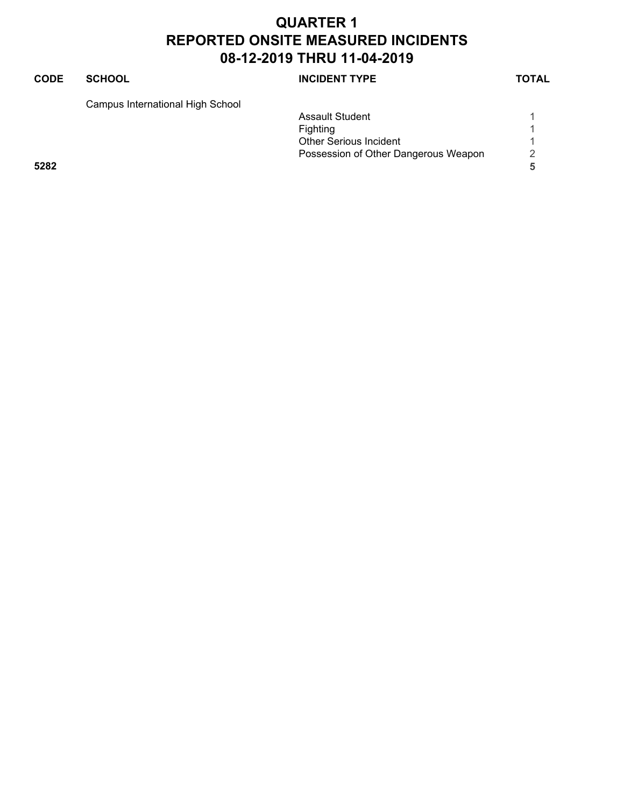### **CODE SCHOOL SCHOOL** INCIDENT TYPE TOTAL

Campus International High School

|      |  | <b>Assault Student</b>               |   |
|------|--|--------------------------------------|---|
|      |  | Fighting                             |   |
|      |  | <b>Other Serious Incident</b>        |   |
|      |  | Possession of Other Dangerous Weapon | 2 |
| 5282 |  |                                      |   |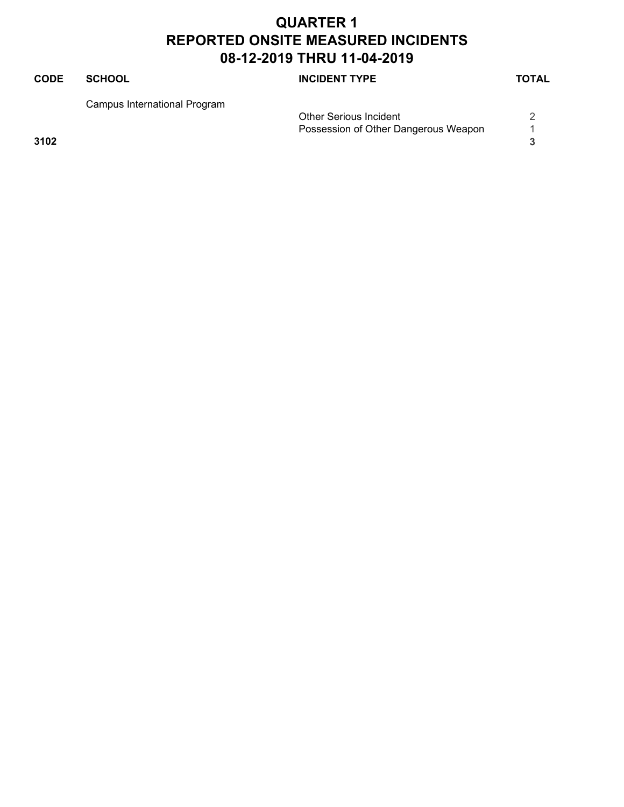### **CODE SCHOOL SCHOOL INCIDENT TYPE TOTAL** Campus International Program Other Serious Incident 2 Possession of Other Dangerous Weapon 1 **3102 3**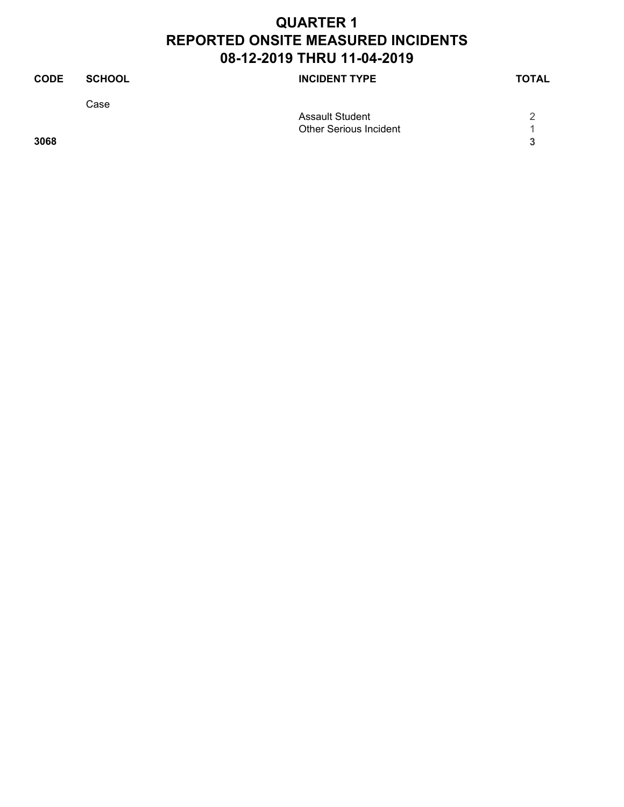| <b>CODE</b> | <b>SCHOOL</b> | <b>INCIDENT TYPE</b>          | <b>TOTAL</b> |
|-------------|---------------|-------------------------------|--------------|
|             | Case          |                               |              |
|             |               | <b>Assault Student</b>        |              |
|             |               | <b>Other Serious Incident</b> |              |
| 3068        |               |                               | 2            |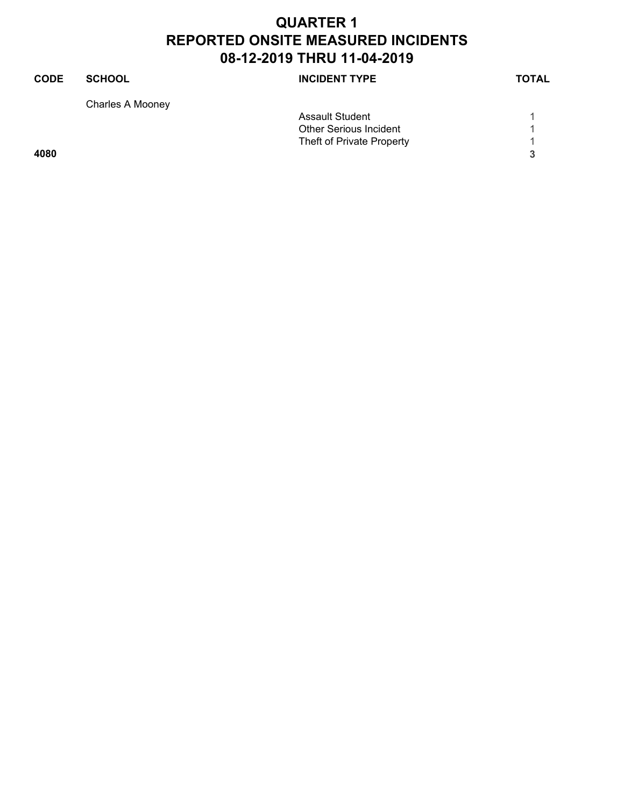## **CODE SCHOOL SCHOOL INCIDENT TYPE TOTAL** Charles A Mooney Assault Student 1 1 Other Serious Incident 1<br>
Theft of Private Property 1 Theft of Private Property 1 **4080 3**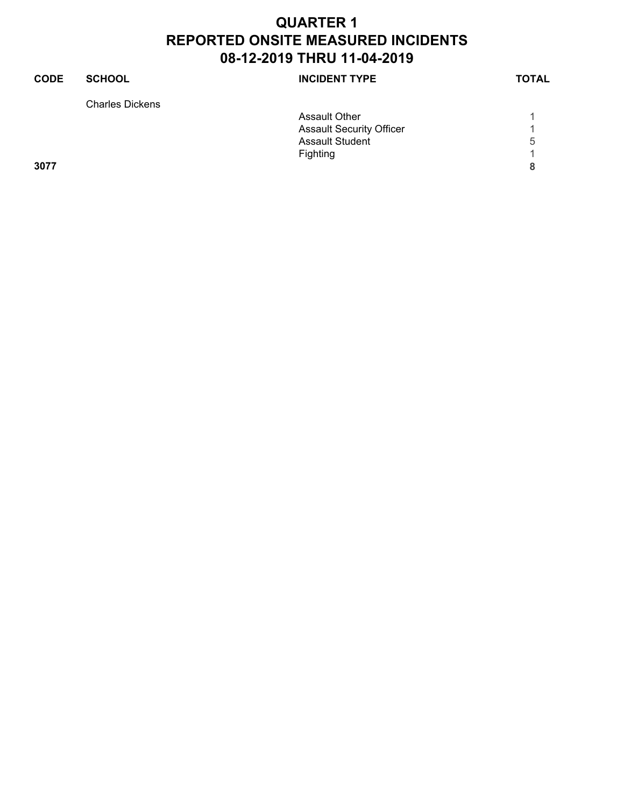| <b>CODE</b> | <b>SCHOOL</b>          | <b>INCIDENT TYPE</b>            | <b>TOTAL</b> |
|-------------|------------------------|---------------------------------|--------------|
|             | <b>Charles Dickens</b> |                                 |              |
|             |                        | <b>Assault Other</b>            |              |
|             |                        | <b>Assault Security Officer</b> |              |
|             |                        | <b>Assault Student</b>          | 5            |
|             |                        | Fighting                        |              |
| 3077        |                        |                                 | 8            |
|             |                        |                                 |              |
|             |                        |                                 |              |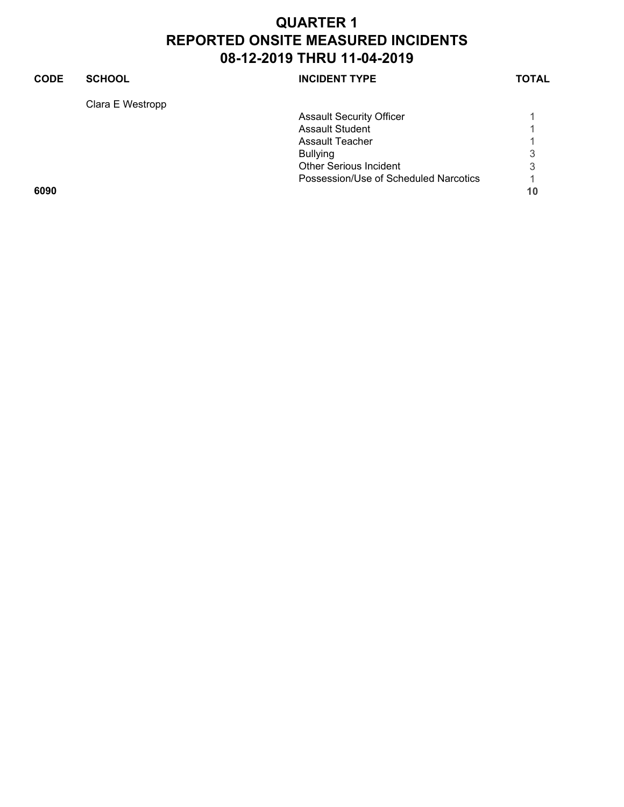## **CODE SCHOOL SCHOOL INCIDENT TYPE TOTAL** Clara E Westropp Assault Security Officer 1 1 Assault Student 1<br>Assault Teacher 1 Assault Teacher 1 Bullying 3<br>Other Serious Incident 3 Other Serious Incident Possession/Use of Scheduled Narcotics 1 **6090 10**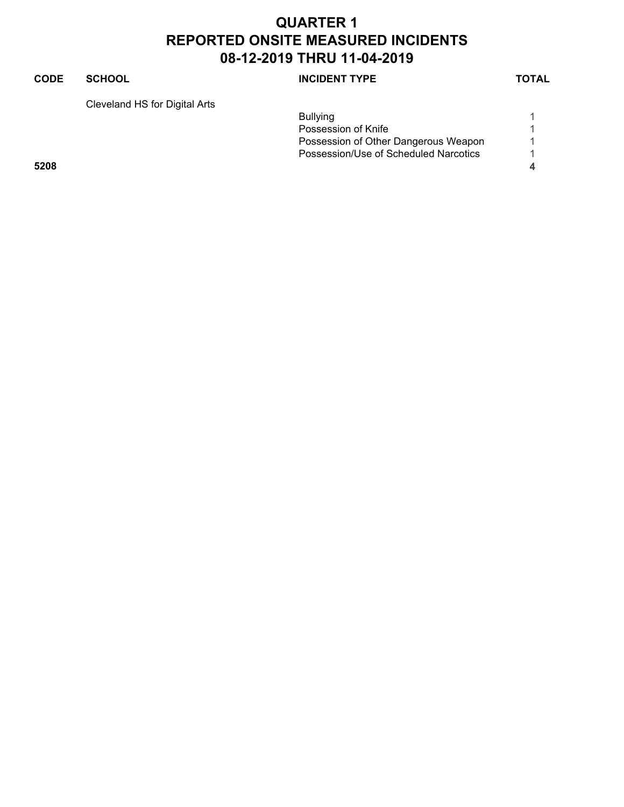### **CODE SCHOOL SCHOOL** INCIDENT TYPE TOTAL

Cleveland HS for Digital Arts

|      | <b>Bullying</b>                       |  |
|------|---------------------------------------|--|
|      | Possession of Knife                   |  |
|      | Possession of Other Dangerous Weapon  |  |
|      | Possession/Use of Scheduled Narcotics |  |
| 5208 |                                       |  |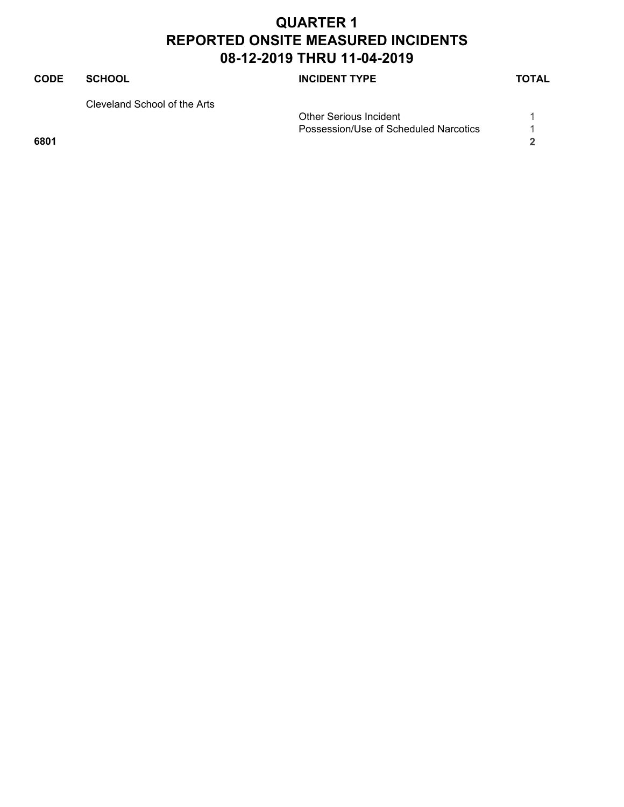# **CODE SCHOOL SCHOOL INCIDENT TYPE TOTAL** Cleveland School of the Arts

Other Serious Incident 1 Possession/Use of Scheduled Narcotics 1 **6801 2**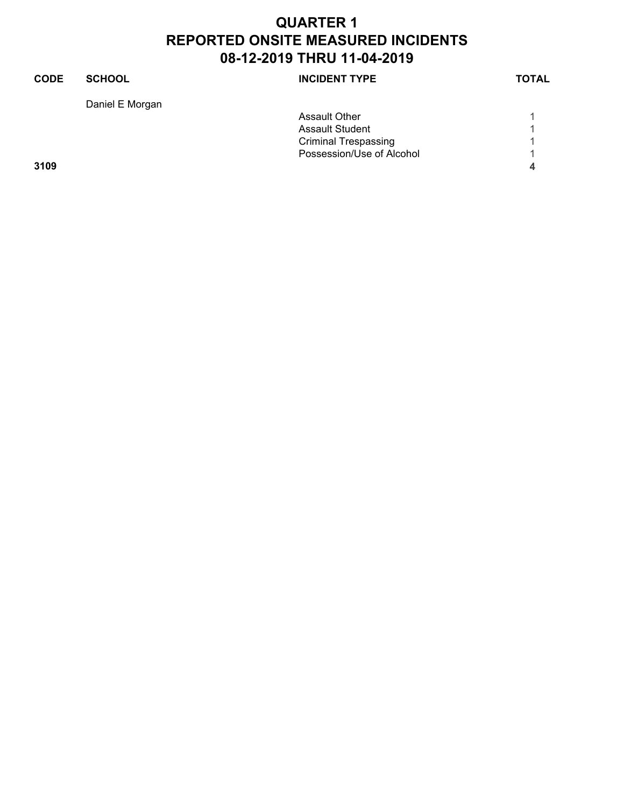| <b>INCIDENT TYPE</b>        | <b>SCHOOL</b>   | <b>CODE</b> |
|-----------------------------|-----------------|-------------|
|                             | Daniel E Morgan |             |
| <b>Assault Other</b>        |                 |             |
| <b>Assault Student</b>      |                 |             |
| <b>Criminal Trespassing</b> |                 |             |
| Possession/Use of Alcohol   |                 |             |
|                             |                 | 3109        |
|                             |                 |             |
|                             |                 |             |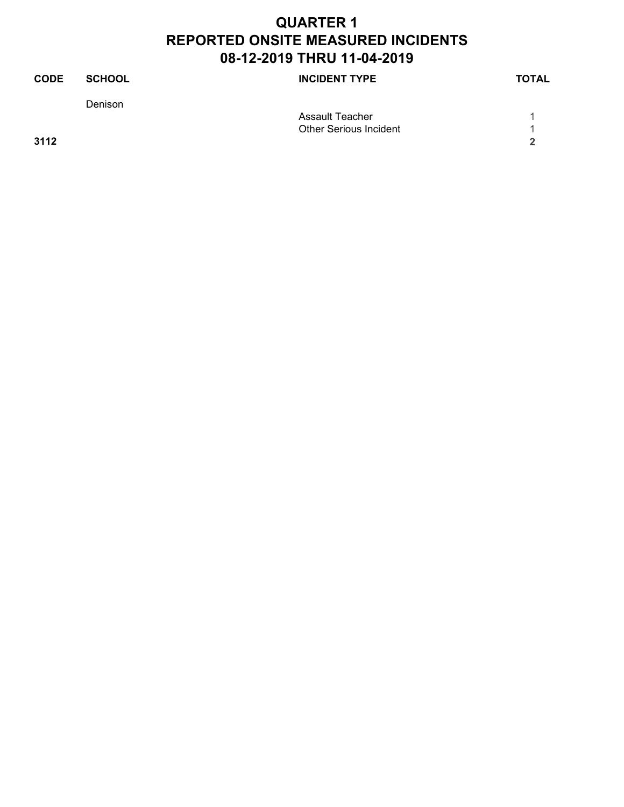| <b>CODE</b> | <b>SCHOOL</b> | <b>INCIDENT TYPE</b>          | <b>TOTAL</b> |
|-------------|---------------|-------------------------------|--------------|
|             | Denison       |                               |              |
|             |               | Assault Teacher               |              |
|             |               | <b>Other Serious Incident</b> |              |
| 3112        |               |                               | າ            |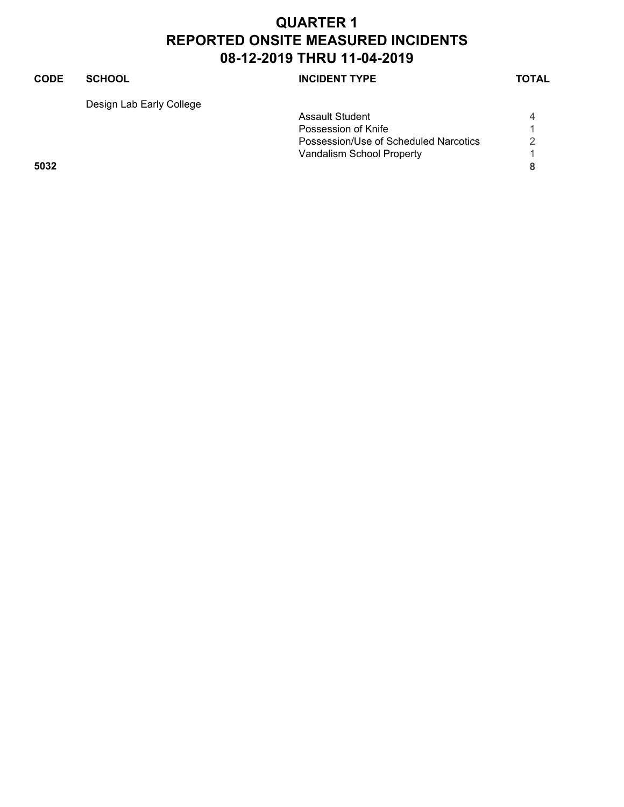### **CODE SCHOOL SCHOOL INCIDENT TYPE TOTAL** Design Lab Early College Assault Student 4 Possession of Knife<br>Possession/Use of Scheduled Narcotics 2 Possession/Use of Scheduled Narcotics 2 Vandalism School Property **1**

**5032 8**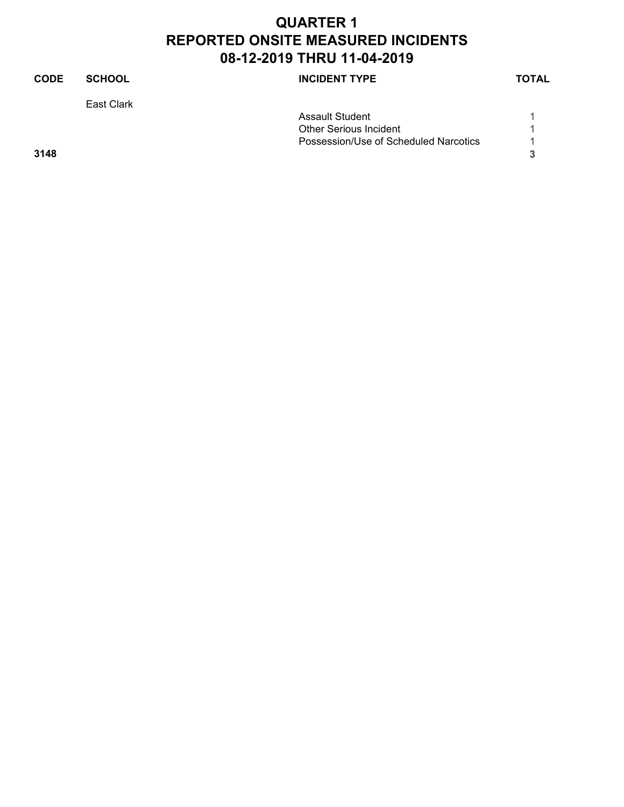| <b>CODE</b> | <b>SCHOOL</b> | <b>INCIDENT TYPE</b>                  | <b>TOTAL</b> |
|-------------|---------------|---------------------------------------|--------------|
|             | East Clark    |                                       |              |
|             |               | <b>Assault Student</b>                |              |
|             |               | <b>Other Serious Incident</b>         |              |
|             |               | Possession/Use of Scheduled Narcotics |              |
| 3148        |               |                                       | 3            |
|             |               |                                       |              |
|             |               |                                       |              |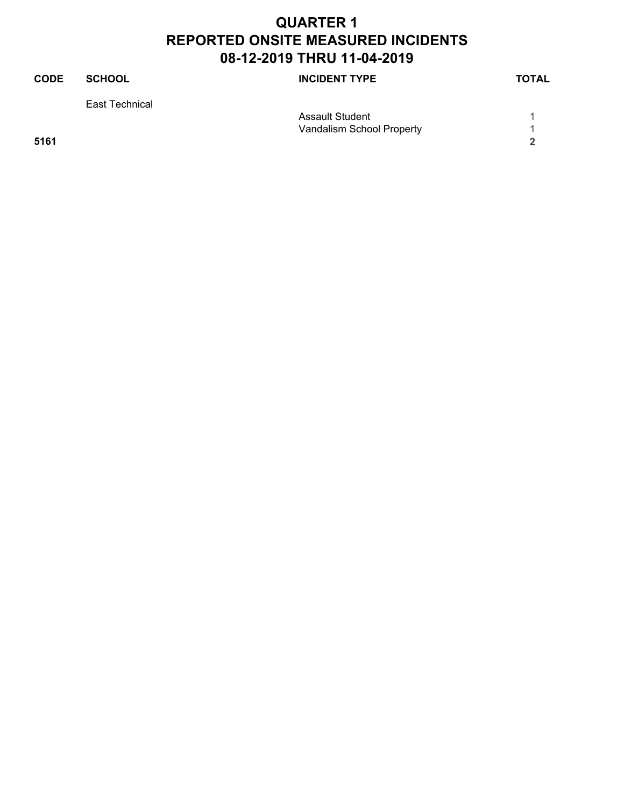| <b>CODE</b> | <b>SCHOOL</b>  | <b>INCIDENT TYPE</b>      | <b>TOTAL</b> |
|-------------|----------------|---------------------------|--------------|
|             | East Technical |                           |              |
|             |                | <b>Assault Student</b>    |              |
|             |                | Vandalism School Property |              |
| 5161        |                |                           | 2            |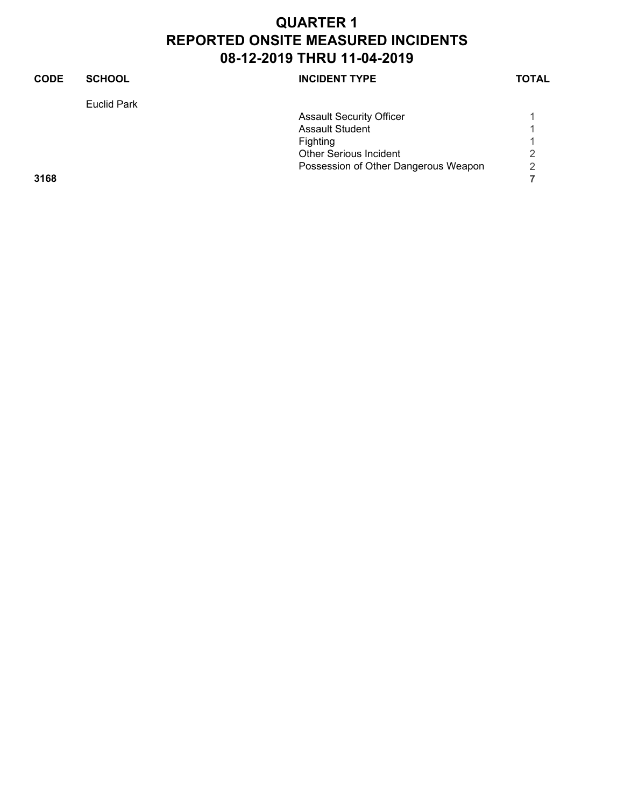| <b>CODE</b> | <b>SCHOOL</b>      | <b>INCIDENT TYPE</b>                 | <b>TOTAL</b>   |
|-------------|--------------------|--------------------------------------|----------------|
|             | <b>Euclid Park</b> |                                      |                |
|             |                    | <b>Assault Security Officer</b>      |                |
|             |                    | <b>Assault Student</b>               |                |
|             |                    | Fighting                             |                |
|             |                    | <b>Other Serious Incident</b>        | 2              |
|             |                    | Possession of Other Dangerous Weapon | $\overline{2}$ |
| 3168        |                    |                                      |                |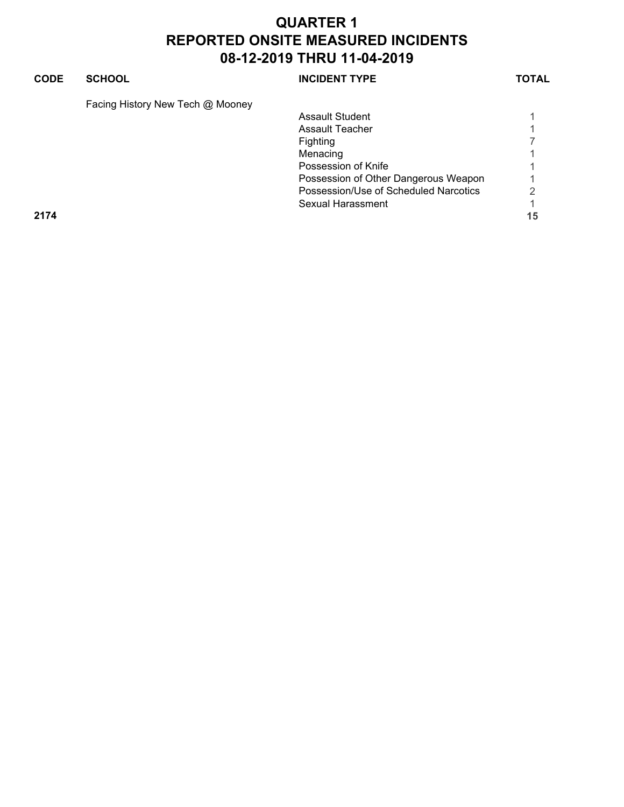| <b>CODE</b> | <b>SCHOOL</b>                    | <b>INCIDENT TYPE</b>                  | TOTAL |
|-------------|----------------------------------|---------------------------------------|-------|
|             | Facing History New Tech @ Mooney |                                       |       |
|             |                                  | Assault Student                       |       |
|             |                                  | Assault Teacher                       |       |
|             |                                  | <b>Fighting</b>                       |       |
|             |                                  | Menacing                              |       |
|             |                                  | Possession of Knife                   |       |
|             |                                  | Possession of Other Dangerous Weapon  |       |
|             |                                  | Possession/Use of Scheduled Narcotics | ⌒     |
|             |                                  | Sexual Harassment                     |       |
| 2174        |                                  |                                       | 15    |
|             |                                  |                                       |       |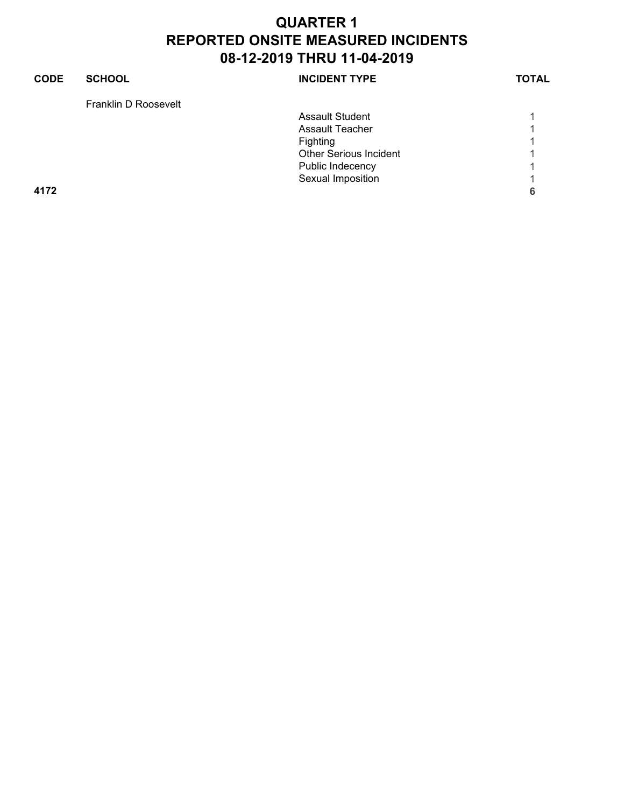| <b>CODE</b> | <b>SCHOOL</b>        | <b>INCIDENT TYPE</b>          | <b>TOTAL</b> |
|-------------|----------------------|-------------------------------|--------------|
|             | Franklin D Roosevelt |                               |              |
|             |                      | <b>Assault Student</b>        |              |
|             |                      | Assault Teacher               |              |
|             |                      | Fighting                      |              |
|             |                      | <b>Other Serious Incident</b> |              |
|             |                      | Public Indecency              |              |
|             |                      | Sexual Imposition             |              |
| 4172        |                      |                               | 6            |
|             |                      |                               |              |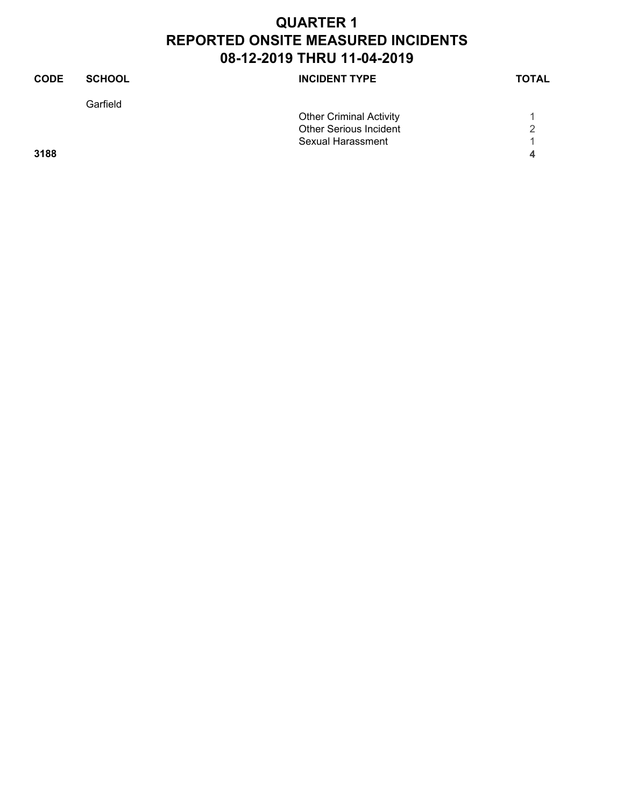| <b>CODE</b> | <b>SCHOOL</b> | <b>INCIDENT TYPE</b>           | <b>TOTAL</b> |
|-------------|---------------|--------------------------------|--------------|
|             | Garfield      |                                |              |
|             |               | <b>Other Criminal Activity</b> |              |
|             |               | <b>Other Serious Incident</b>  | 2            |
|             |               | Sexual Harassment              |              |
| 3188        |               |                                | 4            |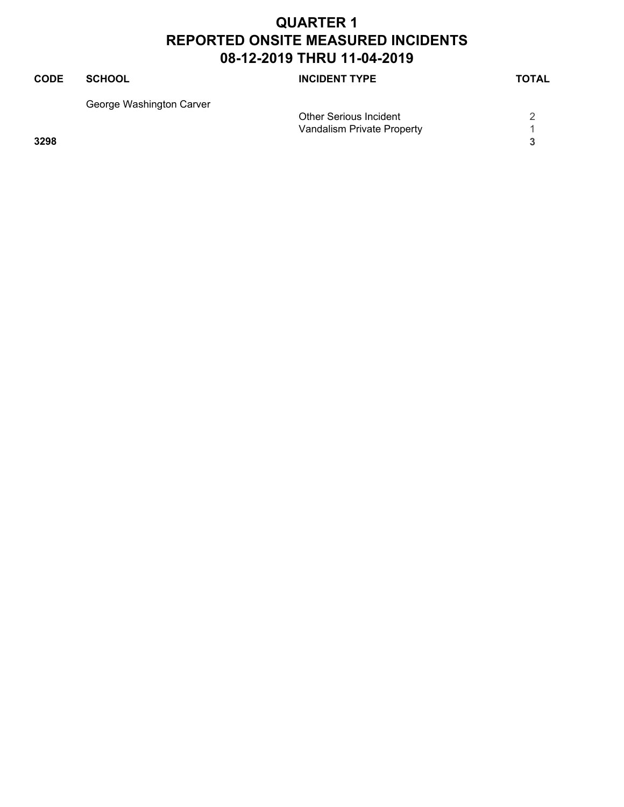| CODE | <b>SCHOOL</b>            | <b>INCIDENT TYPE</b>          | <b>TOTAL</b> |
|------|--------------------------|-------------------------------|--------------|
|      | George Washington Carver |                               |              |
|      |                          | <b>Other Serious Incident</b> |              |
|      |                          | Vandalism Private Property    |              |
| 3298 |                          |                               |              |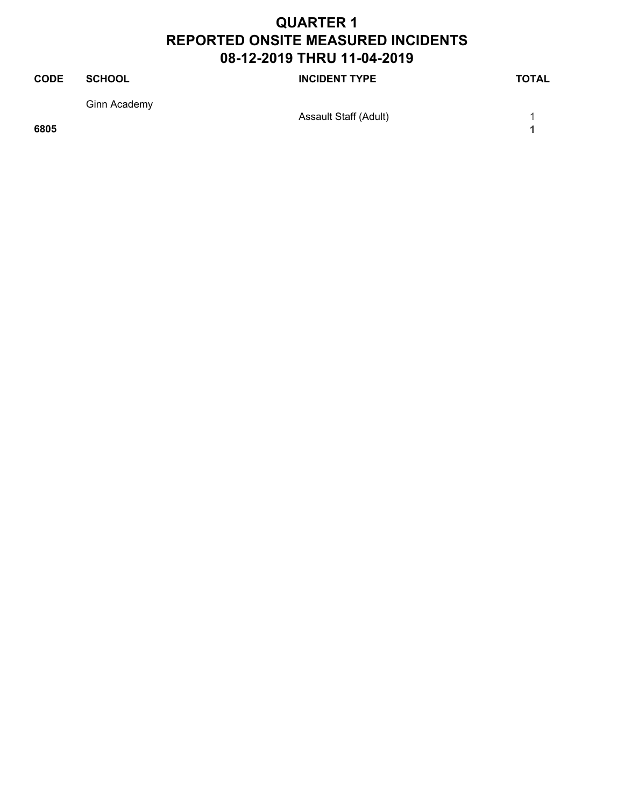| <b>CODE</b> | <b>SCHOOL</b> | <b>INCIDENT TYPE</b>         | <b>TOTAL</b> |
|-------------|---------------|------------------------------|--------------|
|             | Ginn Academy  | <b>Assault Staff (Adult)</b> |              |
| 6805        |               |                              |              |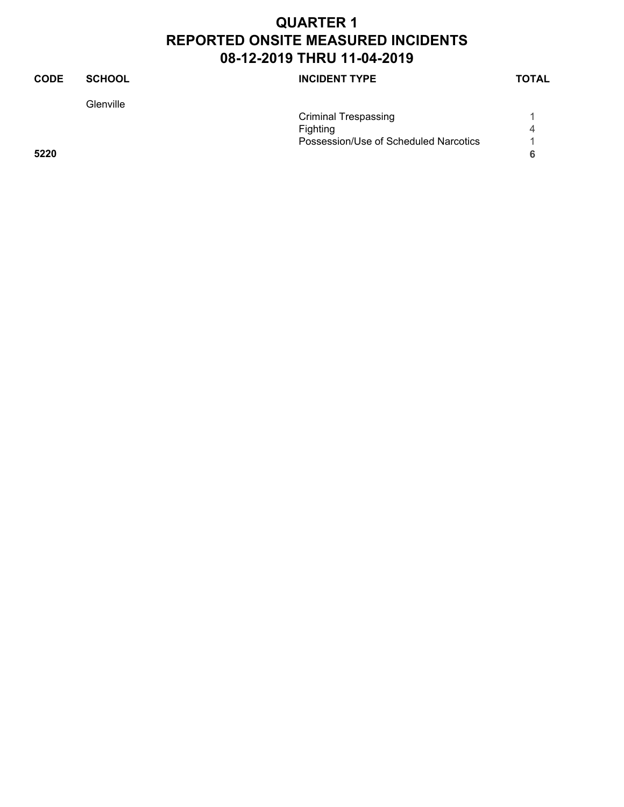| <b>CODE</b> | <b>SCHOOL</b> | <b>INCIDENT TYPE</b>                  | <b>TOTAL</b> |
|-------------|---------------|---------------------------------------|--------------|
|             | Glenville     |                                       |              |
|             |               | <b>Criminal Trespassing</b>           |              |
|             |               | Fighting                              | 4            |
|             |               | Possession/Use of Scheduled Narcotics |              |
| 5220        |               |                                       | 6            |
|             |               |                                       |              |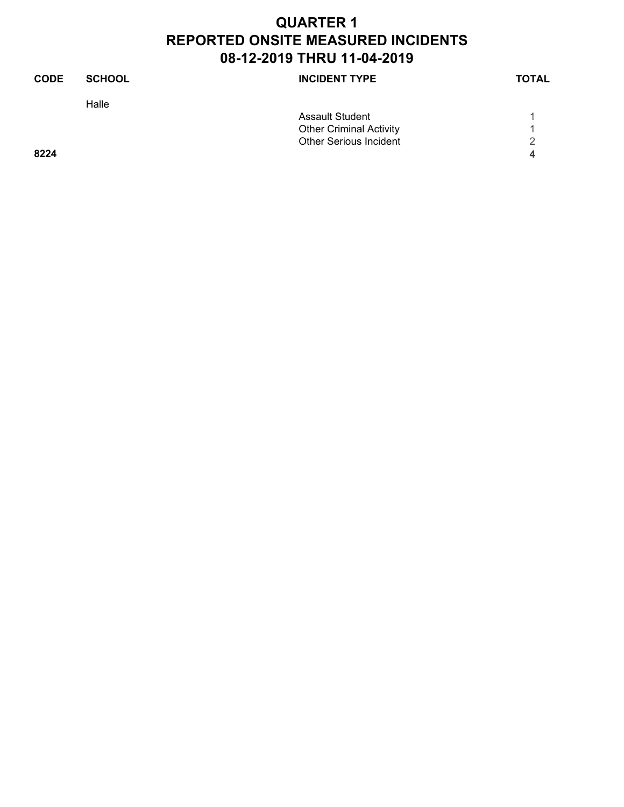| <b>CODE</b> | <b>SCHOOL</b> | <b>INCIDENT TYPE</b>           | <b>TOTAL</b> |
|-------------|---------------|--------------------------------|--------------|
|             | Halle         |                                |              |
|             |               | <b>Assault Student</b>         |              |
|             |               | <b>Other Criminal Activity</b> |              |
|             |               | <b>Other Serious Incident</b>  | 2            |
| 8224        |               |                                | 4            |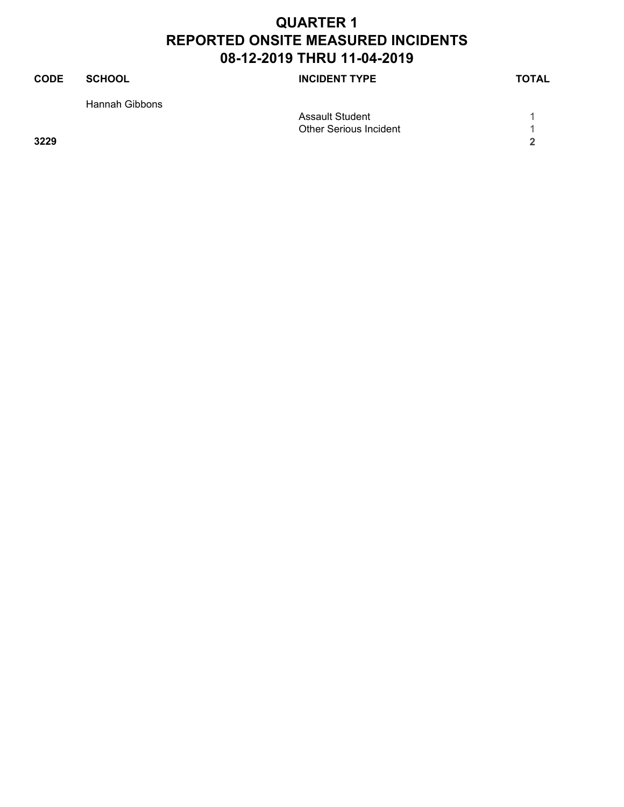| <b>CODE</b> | <b>SCHOOL</b>  | <b>INCIDENT TYPE</b>          | <b>TOTAL</b> |
|-------------|----------------|-------------------------------|--------------|
|             | Hannah Gibbons |                               |              |
|             |                | <b>Assault Student</b>        |              |
|             |                | <b>Other Serious Incident</b> |              |
| 3229        |                |                               | ີ            |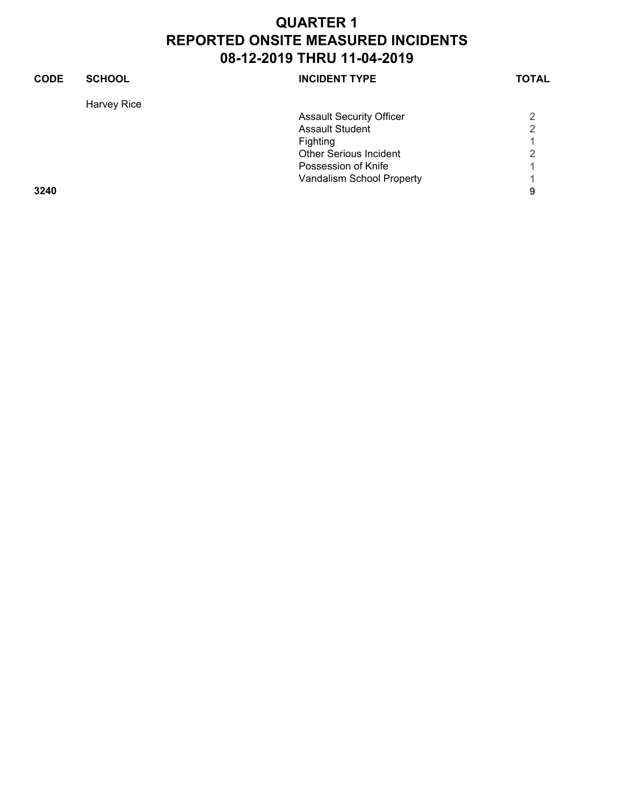| <b>CODE</b> | <b>SCHOOL</b> | <b>INCIDENT TYPE</b>            | <b>TOTAL</b>   |
|-------------|---------------|---------------------------------|----------------|
|             | Harvey Rice   |                                 |                |
|             |               | <b>Assault Security Officer</b> | 2              |
|             |               | <b>Assault Student</b>          | $\overline{2}$ |
|             |               | Fighting                        |                |
|             |               | <b>Other Serious Incident</b>   | 2              |
|             |               | Possession of Knife             |                |
|             |               | Vandalism School Property       |                |
| 3240        |               |                                 | 9              |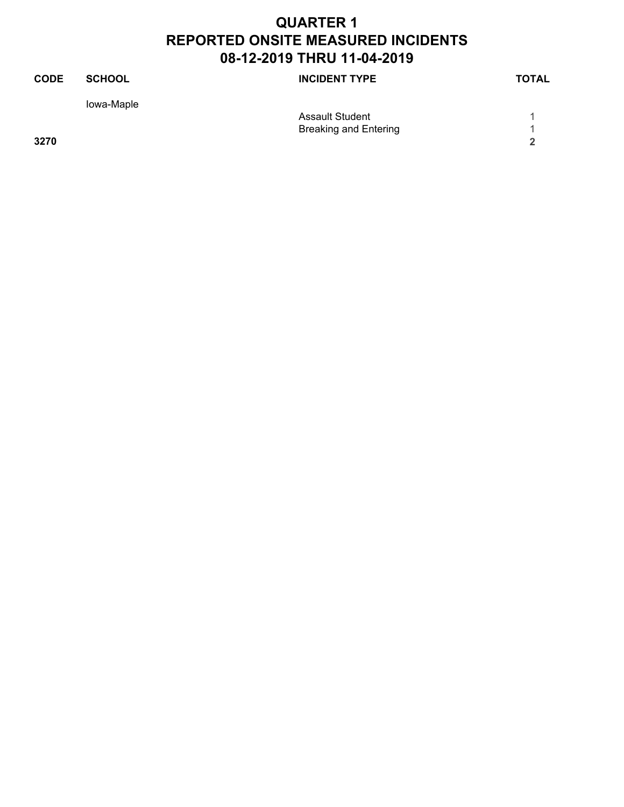| <b>CODE</b> | <b>SCHOOL</b> | <b>INCIDENT TYPE</b>         | <b>TOTAL</b> |
|-------------|---------------|------------------------------|--------------|
|             | lowa-Maple    |                              |              |
|             |               | <b>Assault Student</b>       |              |
|             |               | <b>Breaking and Entering</b> |              |
| 3270        |               |                              | າ            |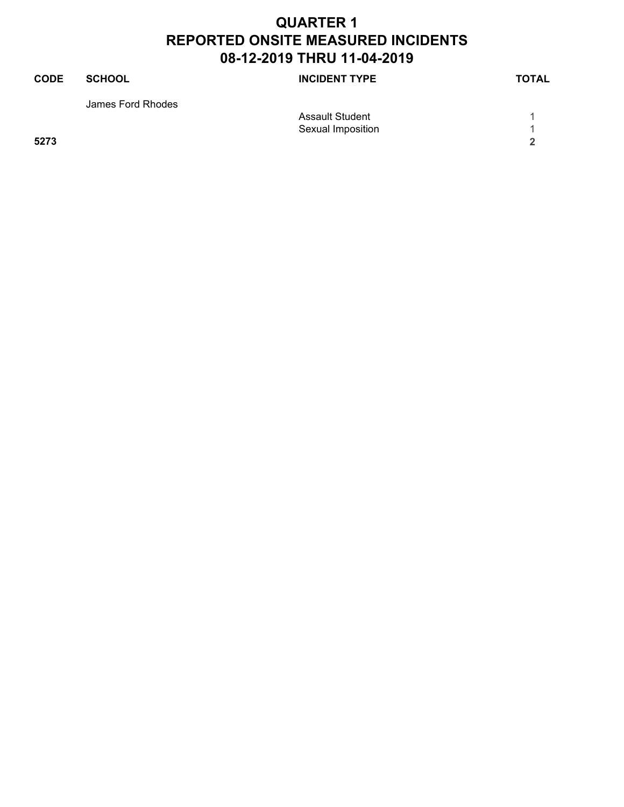| <b>CODE</b> | <b>SCHOOL</b>     | <b>INCIDENT TYPE</b>   | <b>TOTAL</b> |
|-------------|-------------------|------------------------|--------------|
|             | James Ford Rhodes |                        |              |
|             |                   | <b>Assault Student</b> |              |
|             |                   | Sexual Imposition      |              |
| 5273        |                   |                        | ີ            |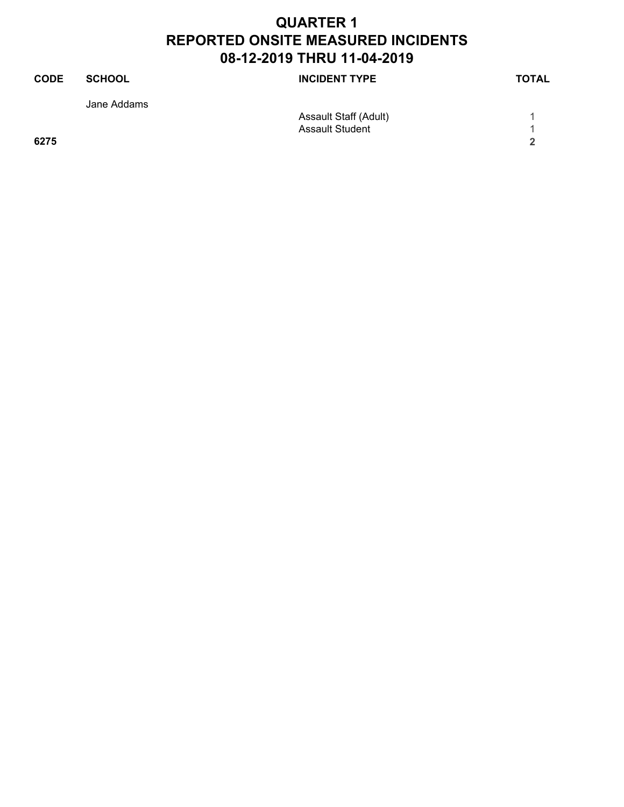| <b>CODE</b> | <b>SCHOOL</b> | <b>INCIDENT TYPE</b>   | <b>TOTAL</b> |
|-------------|---------------|------------------------|--------------|
|             | Jane Addams   |                        |              |
|             |               | Assault Staff (Adult)  |              |
|             |               | <b>Assault Student</b> |              |
| 6275        |               |                        | ີ            |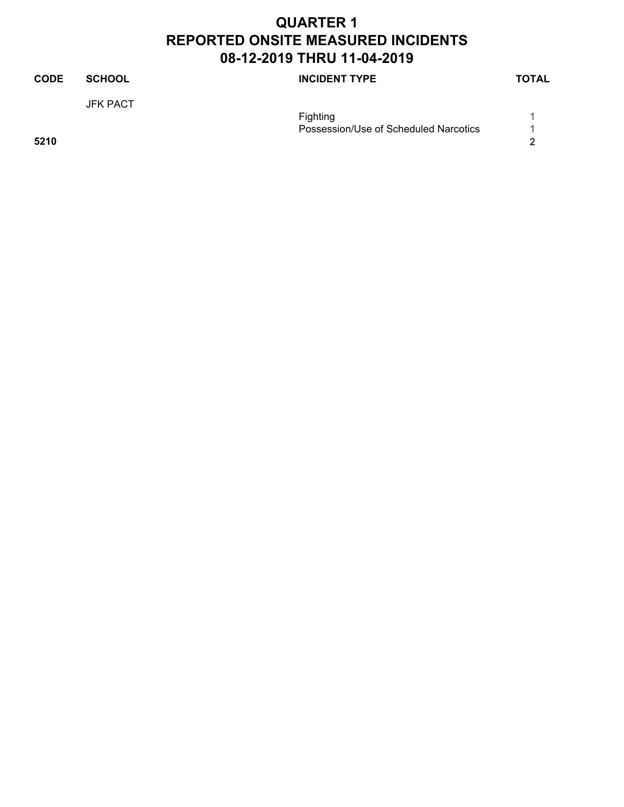| <b>CODE</b> | <b>SCHOOL</b>   | <b>INCIDENT TYPE</b>                  | <b>TOTAL</b> |
|-------------|-----------------|---------------------------------------|--------------|
|             | <b>JFK PACT</b> |                                       |              |
|             |                 | Fighting                              |              |
|             |                 | Possession/Use of Scheduled Narcotics |              |
| 5210        |                 |                                       | 2            |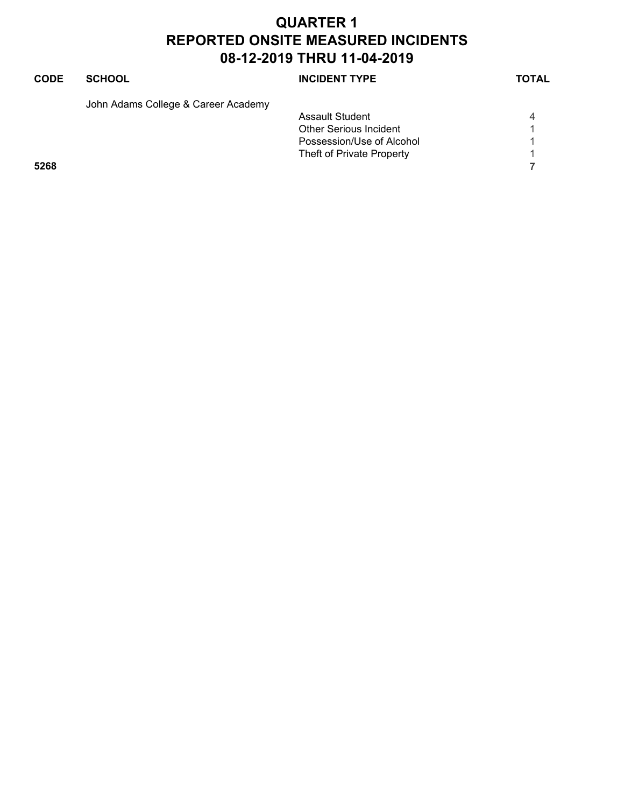| <b>CODE</b> | <b>SCHOOL</b>                       | <b>INCIDENT TYPE</b>          | <b>TOTAL</b> |
|-------------|-------------------------------------|-------------------------------|--------------|
|             | John Adams College & Career Academy |                               |              |
|             |                                     | Assault Student               | 4            |
|             |                                     | <b>Other Serious Incident</b> |              |
|             |                                     | Possession/Use of Alcohol     |              |
|             |                                     | Theft of Private Property     |              |
| 5268        |                                     |                               |              |
|             |                                     |                               |              |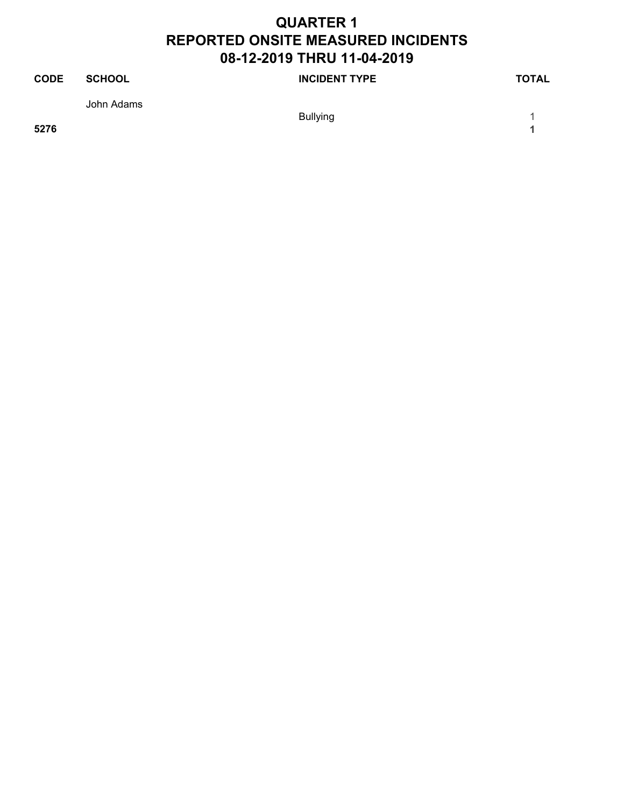| <b>CODE</b> | SCHOOL     | <b>INCIDENT TYPE</b> | <b>TOTAL</b> |
|-------------|------------|----------------------|--------------|
|             | John Adams |                      |              |
|             |            | Bullying             |              |

**5276 1**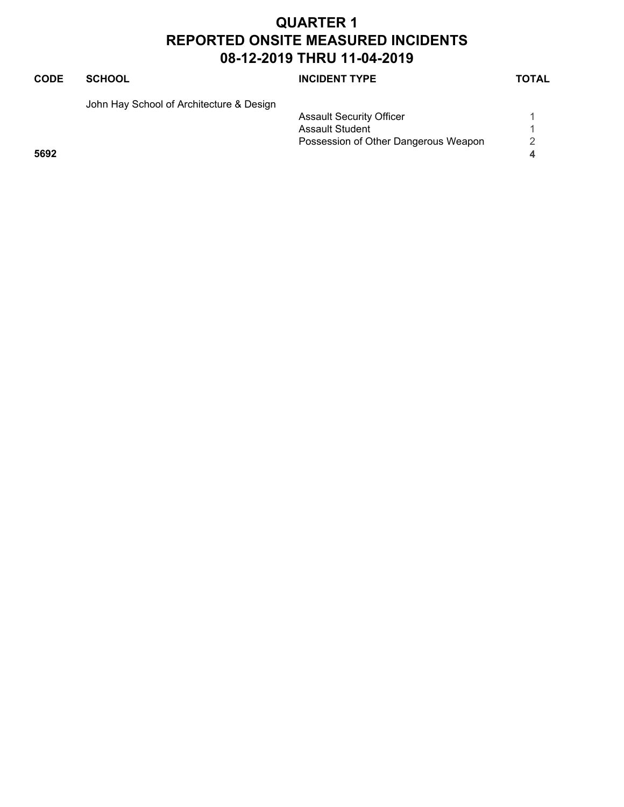| <b>CODE</b> | <b>SCHOOL</b>                            | <b>INCIDENT TYPE</b>                 | <b>TOTAL</b> |
|-------------|------------------------------------------|--------------------------------------|--------------|
|             | John Hay School of Architecture & Design |                                      |              |
|             |                                          | <b>Assault Security Officer</b>      |              |
|             |                                          | <b>Assault Student</b>               |              |
|             |                                          | Possession of Other Dangerous Weapon | 2            |
| 5692        |                                          |                                      | 4            |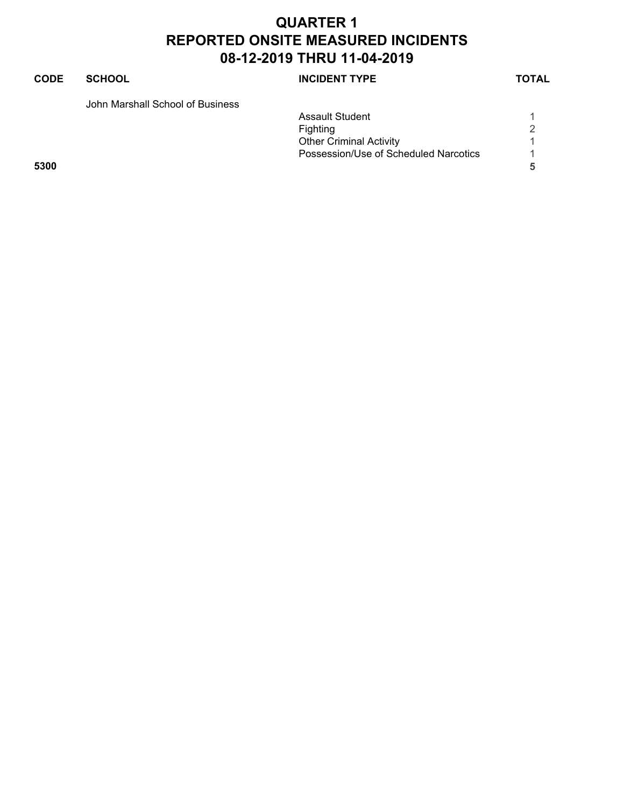#### **CODE SCHOOL SCHOOL INCIDENT TYPE TOTAL**

John Marshall School of Business

|      | <b>Assault Student</b>                |   |
|------|---------------------------------------|---|
|      | <b>Fighting</b>                       | 2 |
|      | <b>Other Criminal Activity</b>        |   |
|      | Possession/Use of Scheduled Narcotics |   |
| 5300 |                                       |   |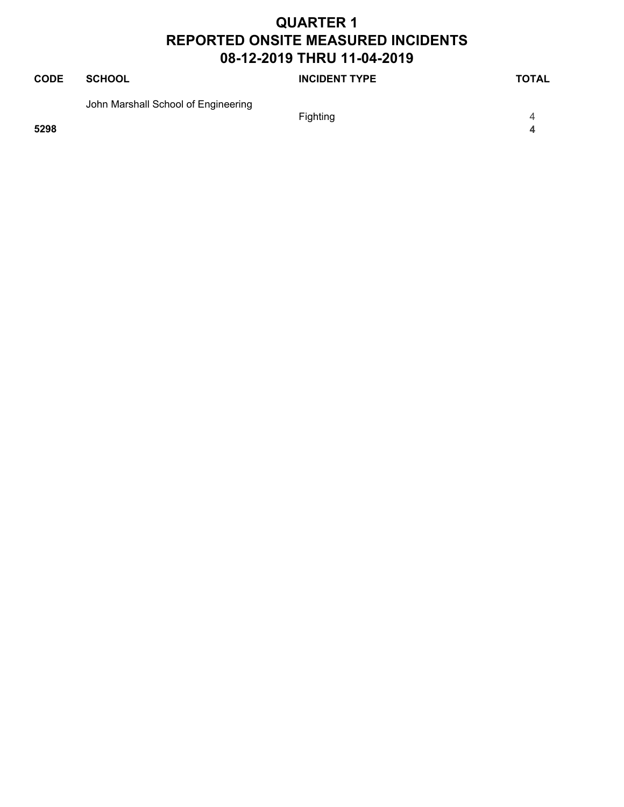| <b>CODE</b> | SCHOOL                              | <b>INCIDENT TYPE</b> | <b>TOTAL</b> |
|-------------|-------------------------------------|----------------------|--------------|
|             | John Marshall School of Engineering | <b>Fighting</b>      | 4            |
| 5298        |                                     |                      | Δ.           |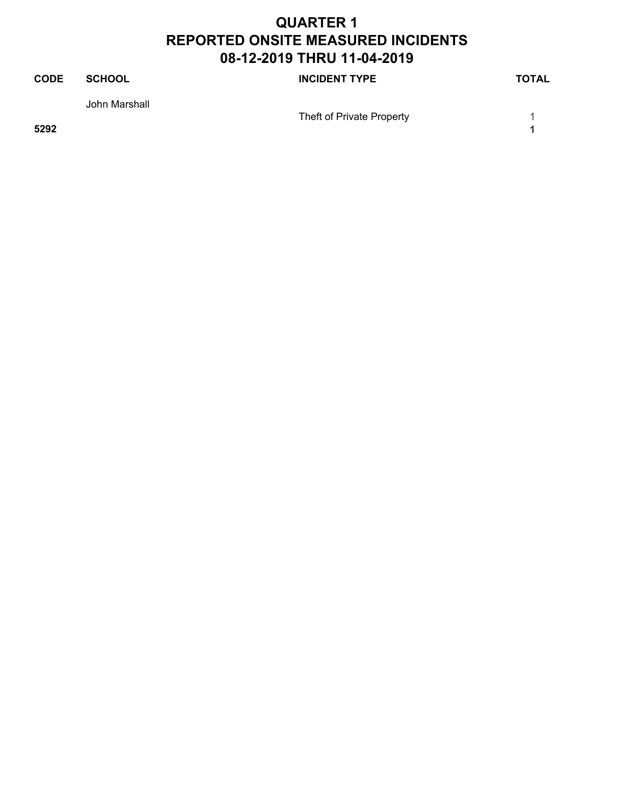| <b>CODE</b> | <b>SCHOOL</b> | <b>INCIDENT TYPE</b>      | <b>TOTAL</b> |
|-------------|---------------|---------------------------|--------------|
|             | John Marshall |                           |              |
| 5292        |               | Theft of Private Property |              |
|             |               |                           |              |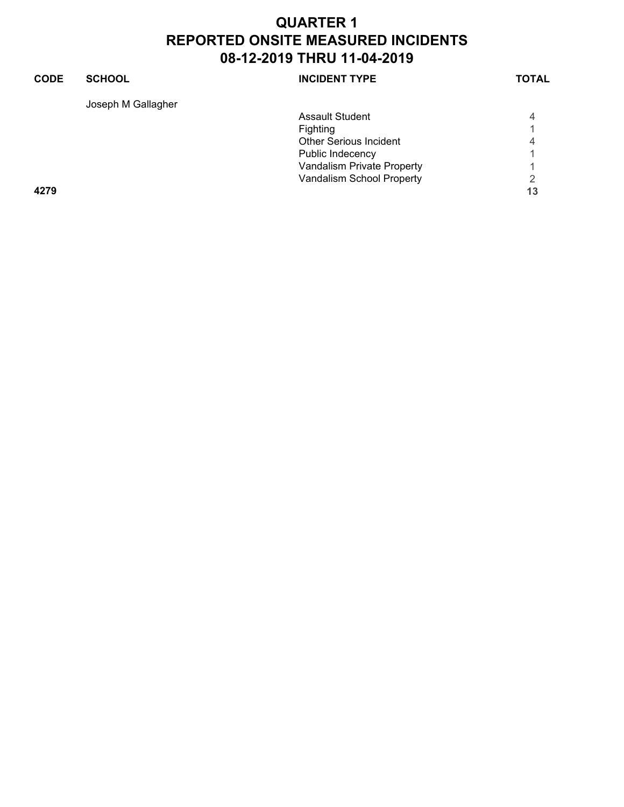#### **CODE SCHOOL SCHOOL INCIDENT TYPE TOTAL** Joseph M Gallagher Assault Student 4 Fighting 1<br>Other Serious Incident 1996 Other Serious Incident 4 Public Indecency 1 Vandalism Private Property **1** Vandalism School Property 2 **4279 13**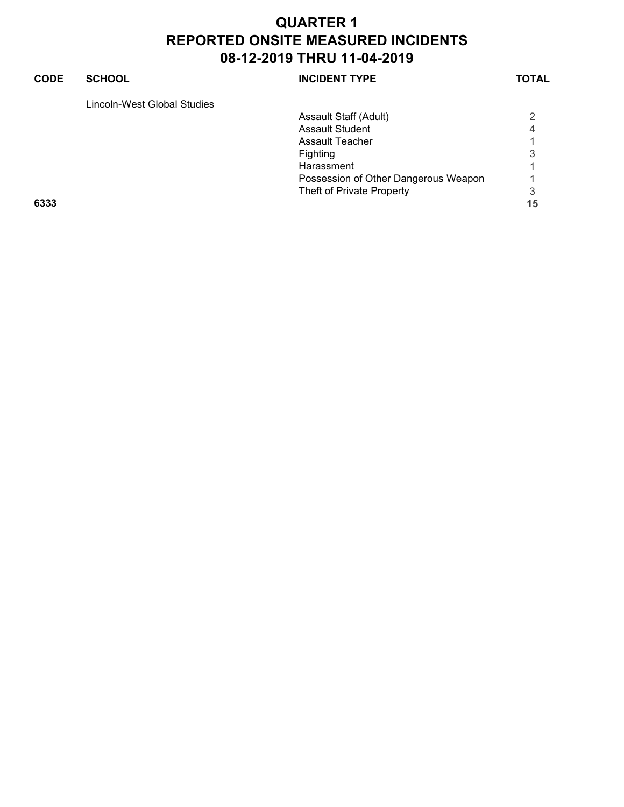#### **CODE SCHOOL SCHOOL INCIDENT TYPE TOTAL** Lincoln-West Global Studies Assault Staff (Adult) 2<br>Assault Student 1 Assault Student 4<br>Assault Teacher 1 Assault Teacher 1 Fighting 3 Harassment 1 Possession of Other Dangerous Weapon 1 Theft of Private Property 3 **6333 15**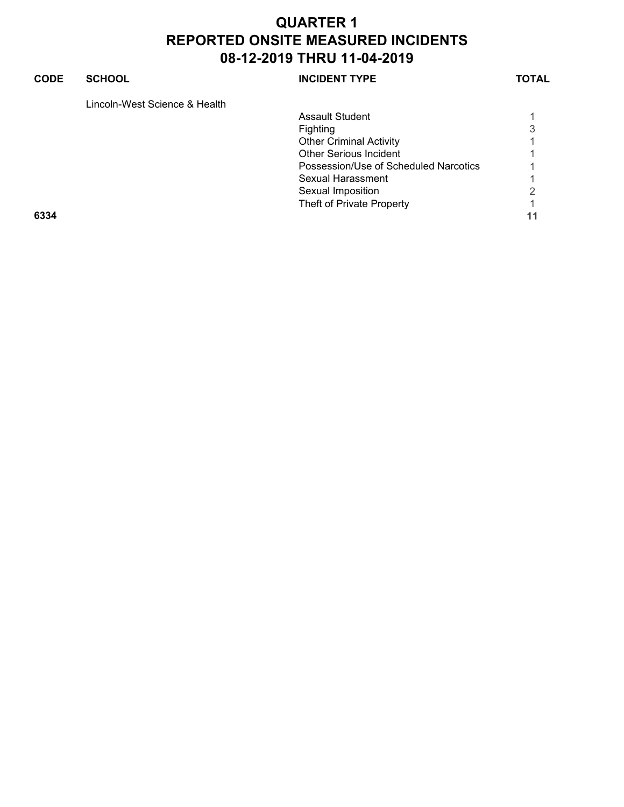#### **CODE SCHOOL SCHOOL INCIDENT TYPE TOTAL**

Lincoln-West Science & Health

|      | <b>Assault Student</b>                |    |
|------|---------------------------------------|----|
|      | Fighting                              | 3  |
|      | <b>Other Criminal Activity</b>        |    |
|      | <b>Other Serious Incident</b>         |    |
|      | Possession/Use of Scheduled Narcotics |    |
|      | Sexual Harassment                     |    |
|      | Sexual Imposition                     | 2  |
|      | Theft of Private Property             |    |
| 6334 |                                       | 11 |
|      |                                       |    |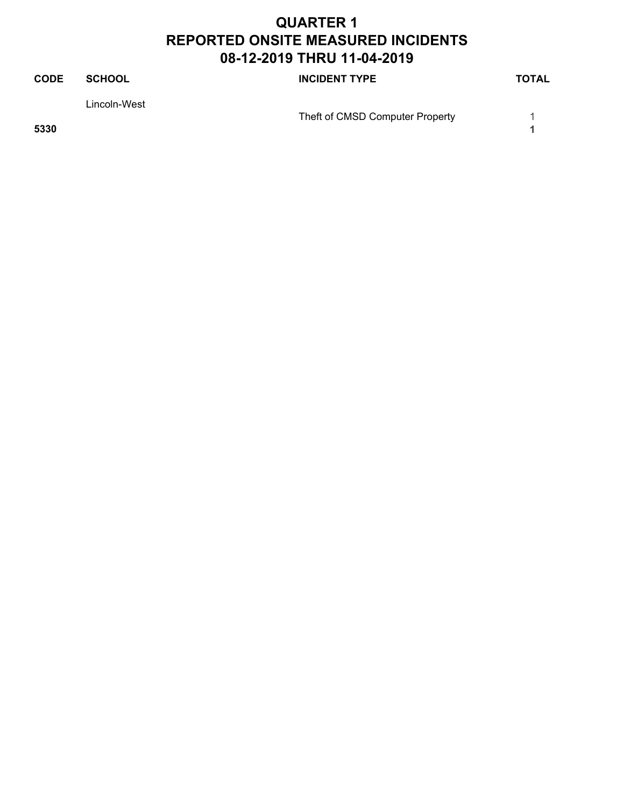| <b>CODE</b> | <b>SCHOOL</b> | <b>INCIDENT TYPE</b>            | <b>TOTAL</b> |
|-------------|---------------|---------------------------------|--------------|
|             | Lincoln-West  |                                 |              |
|             |               | Theft of CMSD Computer Property |              |
| 5330        |               |                                 |              |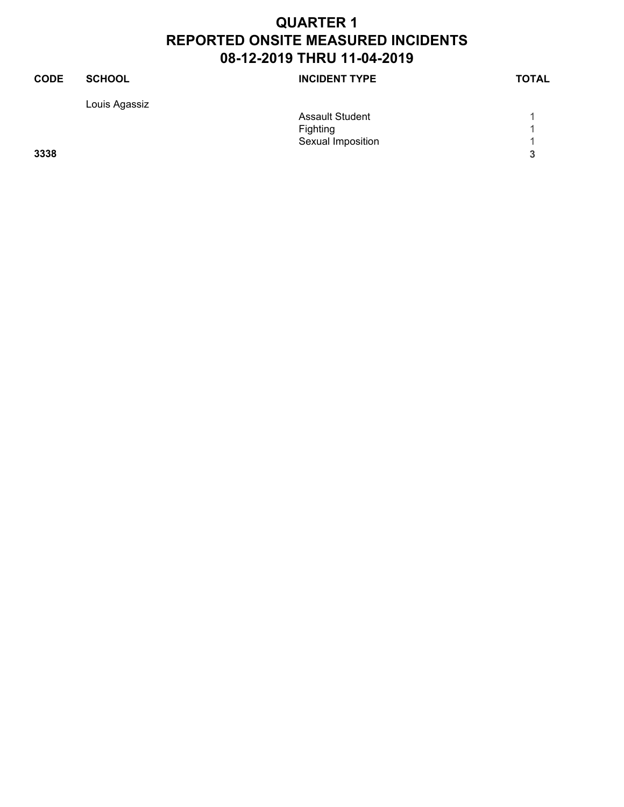| <b>CODE</b> | <b>SCHOOL</b> | <b>INCIDENT TYPE</b>   | <b>TOTAL</b> |
|-------------|---------------|------------------------|--------------|
|             | Louis Agassiz |                        |              |
|             |               | <b>Assault Student</b> |              |
|             |               | Fighting               |              |
|             |               | Sexual Imposition      |              |
| 3338        |               |                        | 3            |
|             |               |                        |              |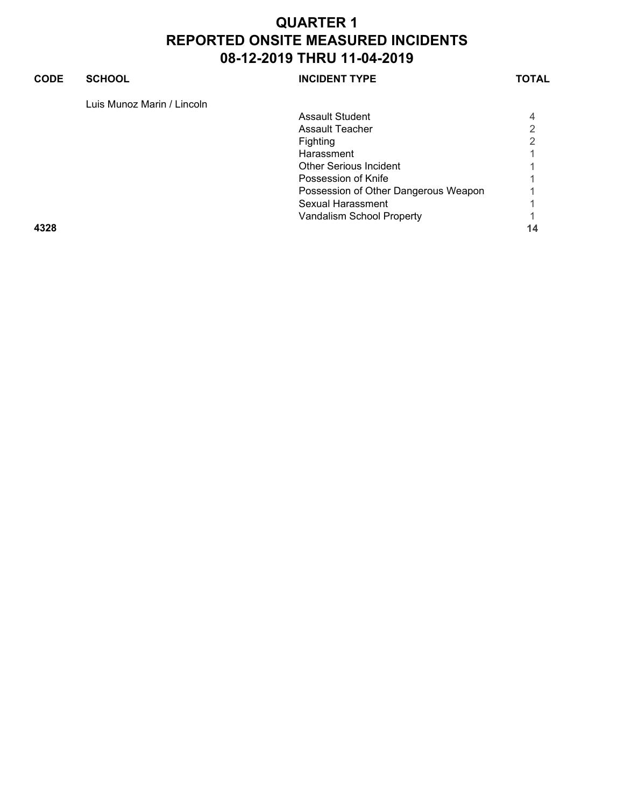#### **CODE SCHOOL SCHOOL INCIDENT TYPE TOTAL** Luis Munoz Marin / Lincoln Assault Student 4 Assault Teacher 2<br>
Fighting 2 Fighting Harassment 1 Other Serious Incident 1 Possession of Knife 1 and 1 and 1 and 1 and 1 and 1 and 1 and 1 and 1 and 1 and 1 and 1 and 1 and 1 and 1 and 1 Possession of Other Dangerous Weapon 1 Sexual Harassment 1 Vandalism School Property **1**

**4328 14**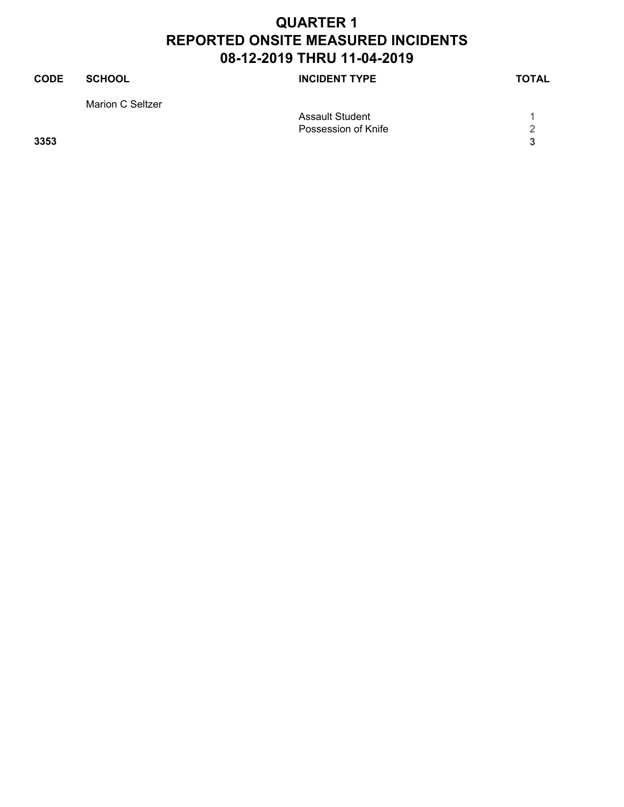| <b>CODE</b> | <b>SCHOOL</b>    | <b>INCIDENT TYPE</b>   | <b>TOTAL</b> |
|-------------|------------------|------------------------|--------------|
|             | Marion C Seltzer |                        |              |
|             |                  | <b>Assault Student</b> |              |
|             |                  | Possession of Knife    | 2            |
| 3353        |                  |                        | 3            |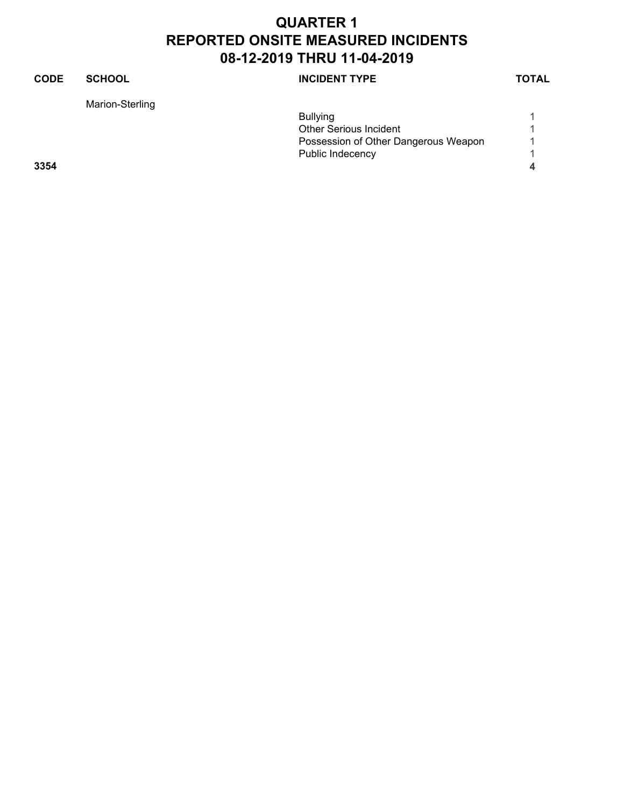#### **CODE SCHOOL SCHOOL INCIDENT TYPE TOTAL** Marion-Sterling Bullying 1 Other Serious Incident<br>
Possession of Other Dangerous Weapon 1 Possession of Other Dangerous Weapon 1 Public Indecency 1 **3354 4**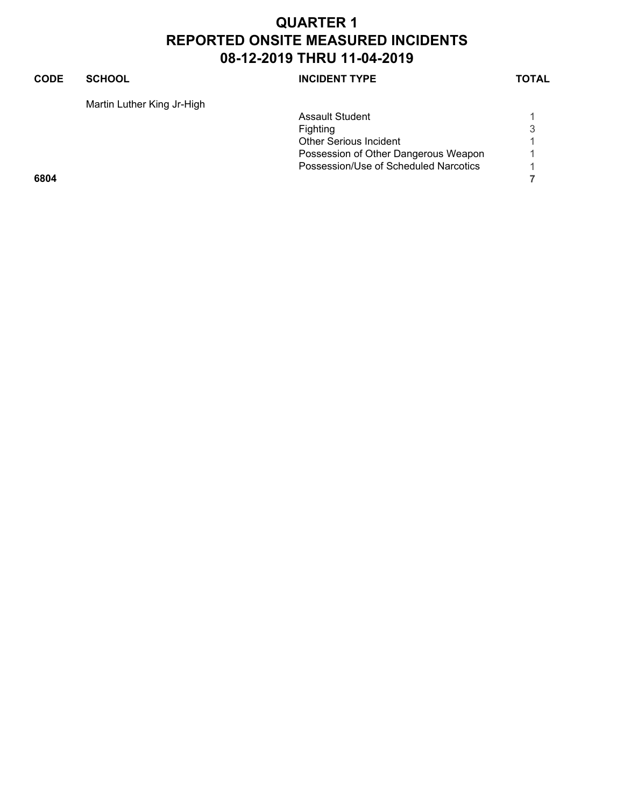#### **CODE SCHOOL SCHOOL** INCIDENT TYPE TOTAL

Martin Luther King Jr-High

|      |  | <b>Assault Student</b>                |                          |
|------|--|---------------------------------------|--------------------------|
|      |  | <b>Fighting</b>                       | 3                        |
|      |  | <b>Other Serious Incident</b>         |                          |
|      |  | Possession of Other Dangerous Weapon  | $\overline{\mathcal{A}}$ |
|      |  | Possession/Use of Scheduled Narcotics |                          |
| 6804 |  |                                       |                          |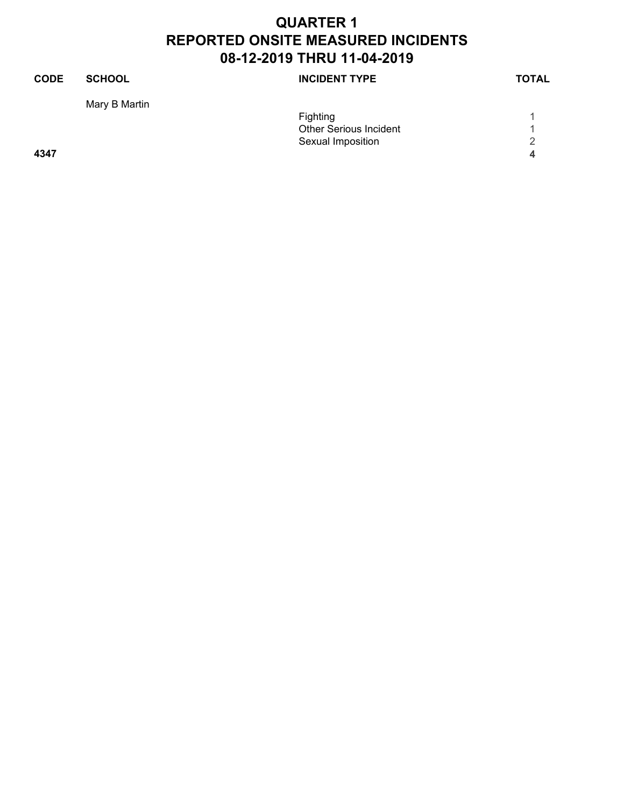| <b>CODE</b> | <b>SCHOOL</b> | <b>INCIDENT TYPE</b>          | <b>TOTAL</b> |
|-------------|---------------|-------------------------------|--------------|
|             | Mary B Martin |                               |              |
|             |               | Fighting                      |              |
|             |               | <b>Other Serious Incident</b> |              |
|             |               | Sexual Imposition             | っ            |
| 4347        |               |                               | Δ            |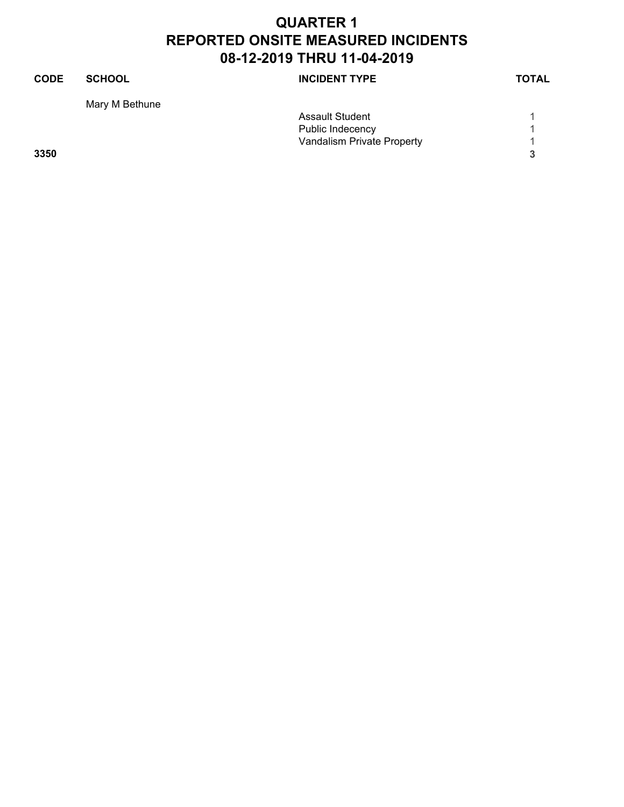| <b>SCHOOL</b>  | <b>INCIDENT TYPE</b>       | <b>TOTAL</b> |
|----------------|----------------------------|--------------|
| Mary M Bethune |                            |              |
|                | <b>Assault Student</b>     |              |
|                | Public Indecency           |              |
|                | Vandalism Private Property |              |
|                |                            | 3            |
|                |                            |              |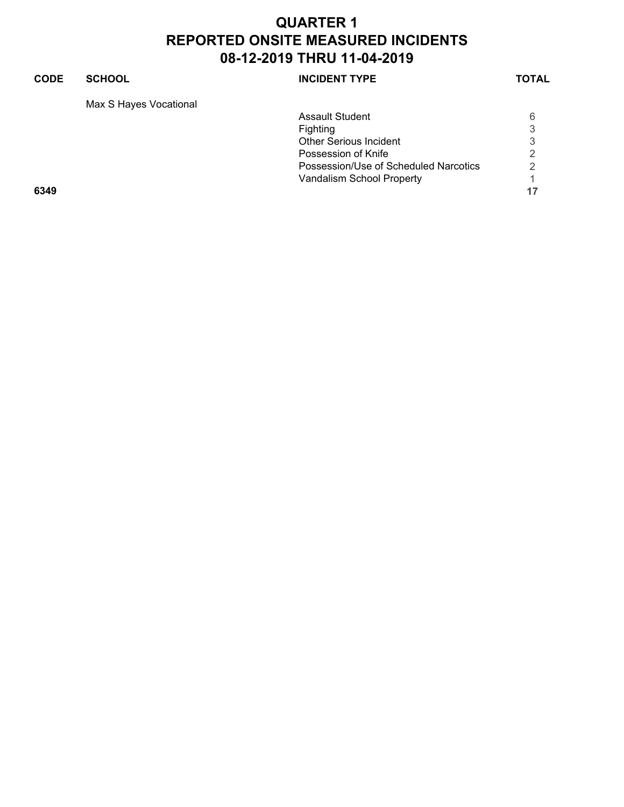#### **CODE SCHOOL SCHOOL** INCIDENT TYPE TOTAL

Max S Hayes Vocational

| Assault Student                       | 6                         |
|---------------------------------------|---------------------------|
| <b>Fighting</b>                       | 3                         |
| <b>Other Serious Incident</b>         | 3                         |
| Possession of Knife                   | 2                         |
| Possession/Use of Scheduled Narcotics | $\mathcal{P}$             |
|                                       |                           |
|                                       | 17                        |
|                                       | Vandalism School Property |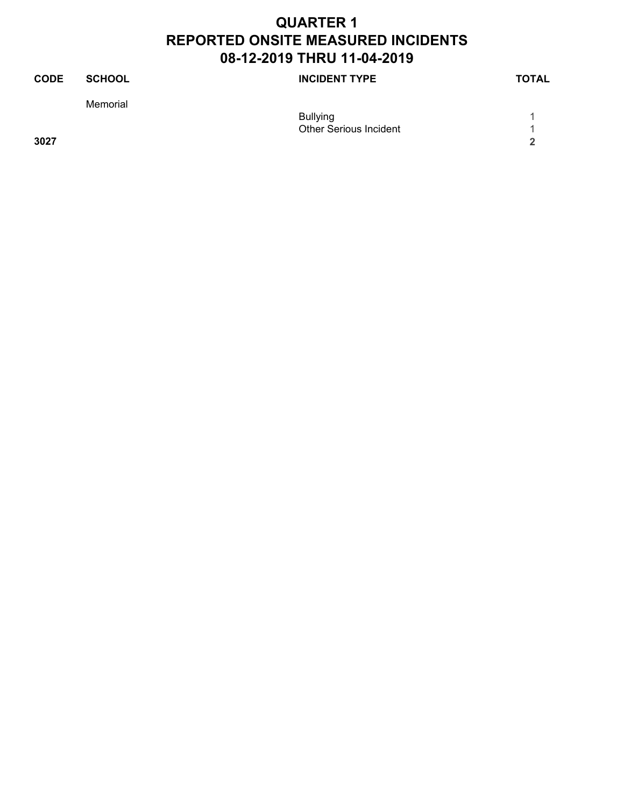| <b>CODE</b> | <b>SCHOOL</b> | <b>INCIDENT TYPE</b>          | <b>TOTAL</b> |
|-------------|---------------|-------------------------------|--------------|
|             | Memorial      |                               |              |
|             |               | <b>Bullying</b>               |              |
|             |               | <b>Other Serious Incident</b> |              |
| 3027        |               |                               | ີ            |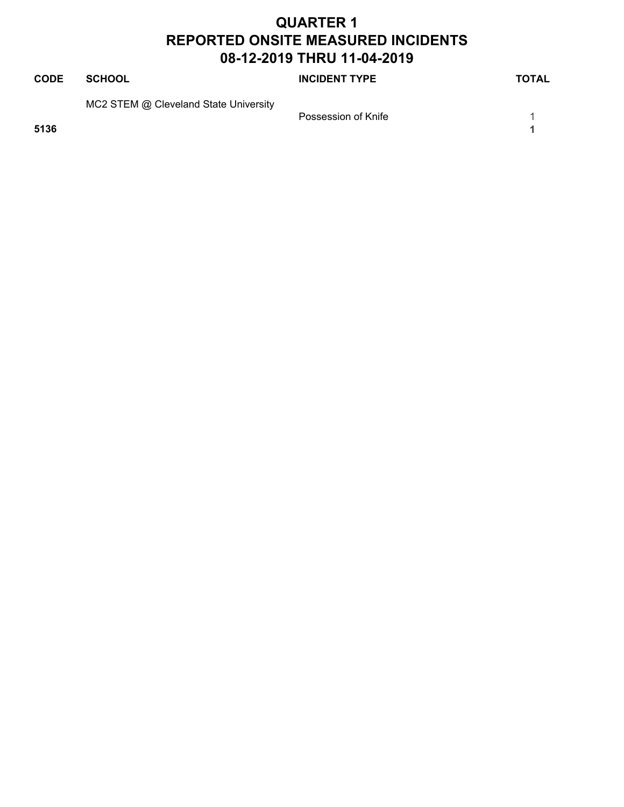| <b>CODE</b> | SCHOOL                                | <b>INCIDENT TYPE</b> | <b>TOTAL</b> |
|-------------|---------------------------------------|----------------------|--------------|
|             | MC2 STEM @ Cleveland State University | Possession of Knife  |              |
| 5136        |                                       |                      |              |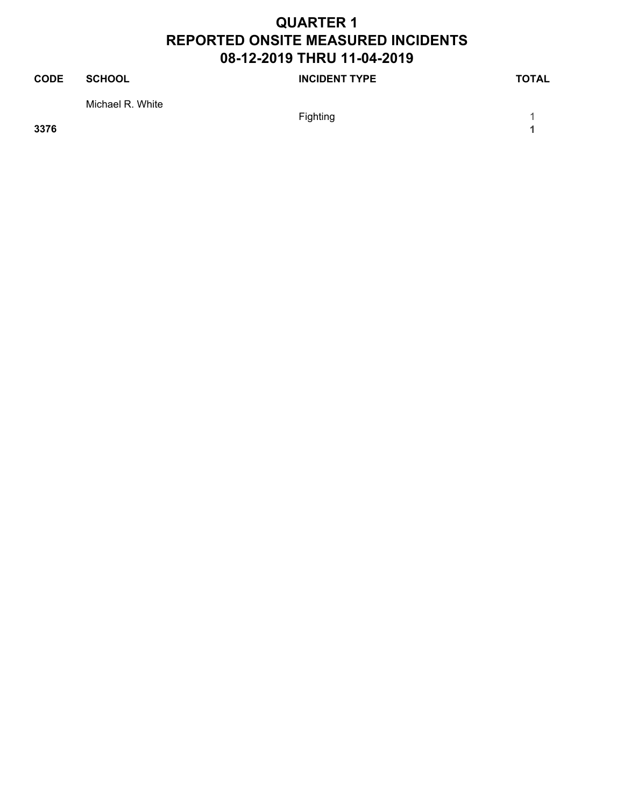| <b>CODE</b> | SCHOOL           | <b>INCIDENT TYPE</b> | <b>TOTAL</b> |
|-------------|------------------|----------------------|--------------|
|             | Michael R. White |                      |              |
|             |                  | Fighting             |              |

**3376 1**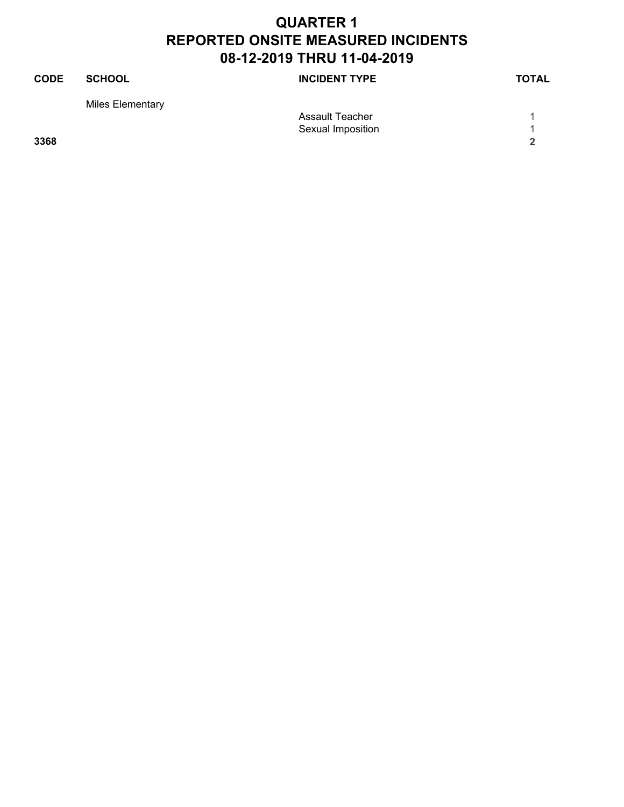| <b>CODE</b> | <b>SCHOOL</b>    | <b>INCIDENT TYPE</b> | <b>TOTAL</b> |
|-------------|------------------|----------------------|--------------|
|             | Miles Elementary |                      |              |
|             |                  | Assault Teacher      |              |
|             |                  | Sexual Imposition    |              |
| 3368        |                  |                      | ີ            |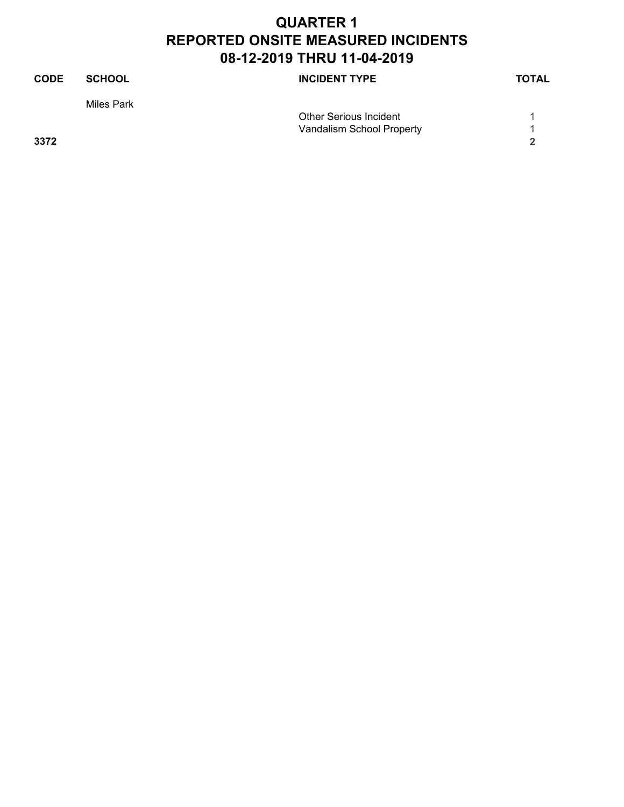| <b>CODE</b> | <b>SCHOOL</b> | <b>INCIDENT TYPE</b>          | <b>TOTAL</b> |
|-------------|---------------|-------------------------------|--------------|
|             | Miles Park    |                               |              |
|             |               | <b>Other Serious Incident</b> |              |
|             |               | Vandalism School Property     |              |
| 3372        |               |                               | 2            |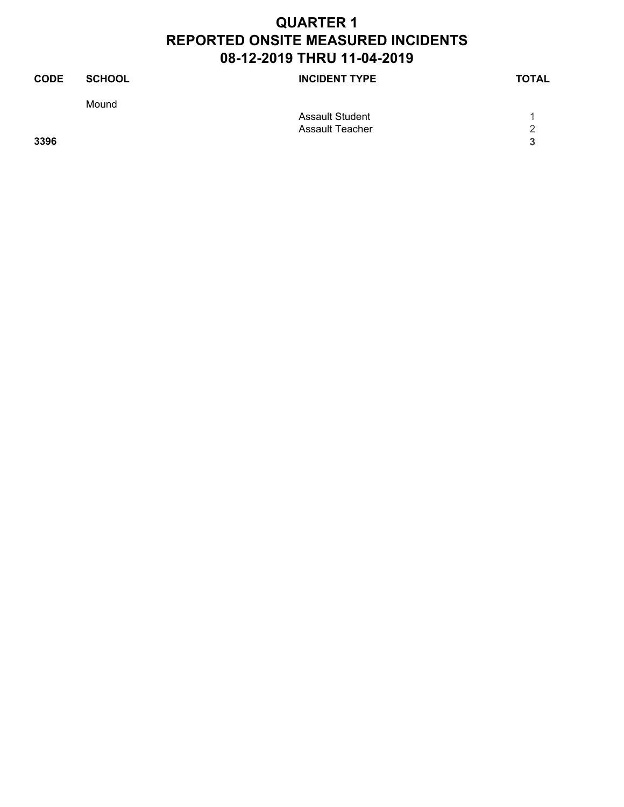| <b>CODE</b> | <b>SCHOOL</b> | <b>INCIDENT TYPE</b>   | <b>TOTAL</b> |
|-------------|---------------|------------------------|--------------|
|             | Mound         |                        |              |
|             |               | <b>Assault Student</b> |              |
|             |               | <b>Assault Teacher</b> | っ            |
| 3396        |               |                        | 3            |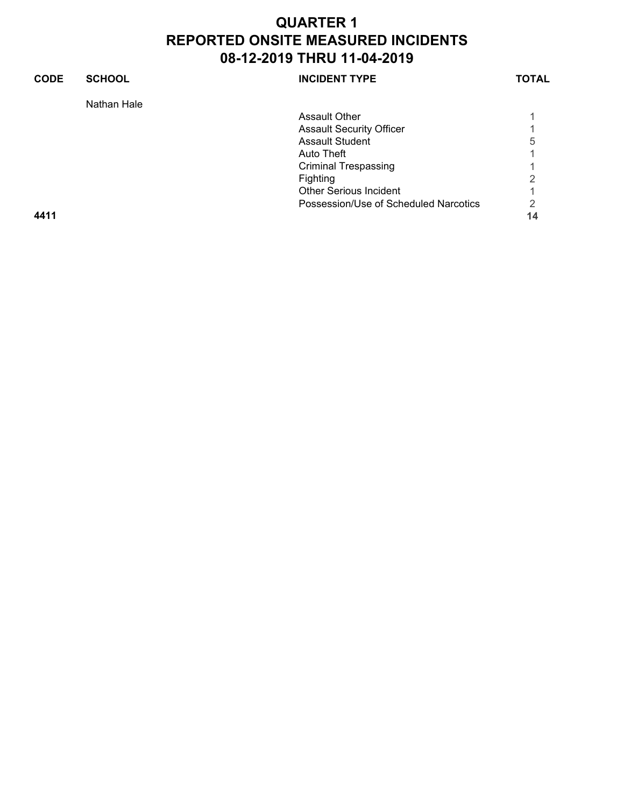| <b>CODE</b> | <b>SCHOOL</b> | <b>INCIDENT TYPE</b>                  | <b>TOTAL</b> |
|-------------|---------------|---------------------------------------|--------------|
|             | Nathan Hale   |                                       |              |
|             |               | <b>Assault Other</b>                  |              |
|             |               | <b>Assault Security Officer</b>       |              |
|             |               | Assault Student                       | 5            |
|             |               | Auto Theft                            |              |
|             |               | <b>Criminal Trespassing</b>           |              |
|             |               | Fighting                              | 2            |
|             |               | <b>Other Serious Incident</b>         |              |
|             |               | Possession/Use of Scheduled Narcotics | 2            |
| 4411        |               |                                       | 14           |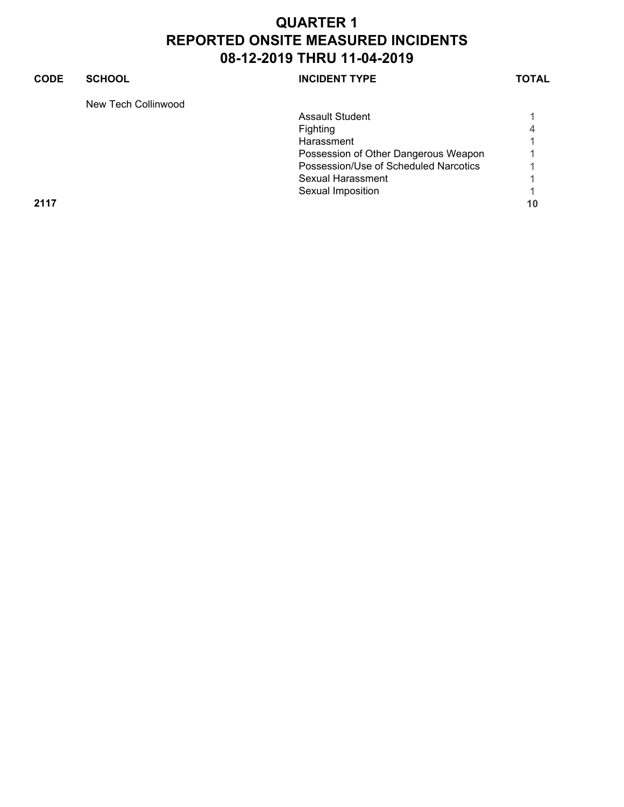#### **CODE SCHOOL SCHOOL INCIDENT TYPE TOTAL** New Tech Collinwood Assault Student 1 Fighting 4<br>Harassment 1 **Harassment** Possession of Other Dangerous Weapon 1 Possession/Use of Scheduled Narcotics 1 Sexual Harassment 1 Sexual Imposition 1 **2117 10**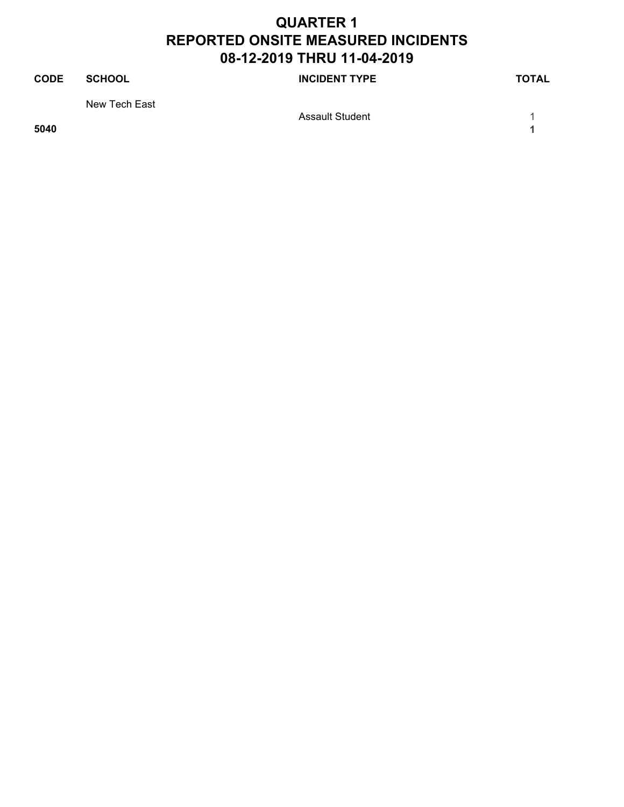| <b>CODE</b> | <b>SCHOOL</b> | <b>INCIDENT TYPE</b>   | <b>TOTAL</b> |
|-------------|---------------|------------------------|--------------|
|             | New Tech East |                        |              |
|             |               | <b>Assault Student</b> |              |

**5040 1**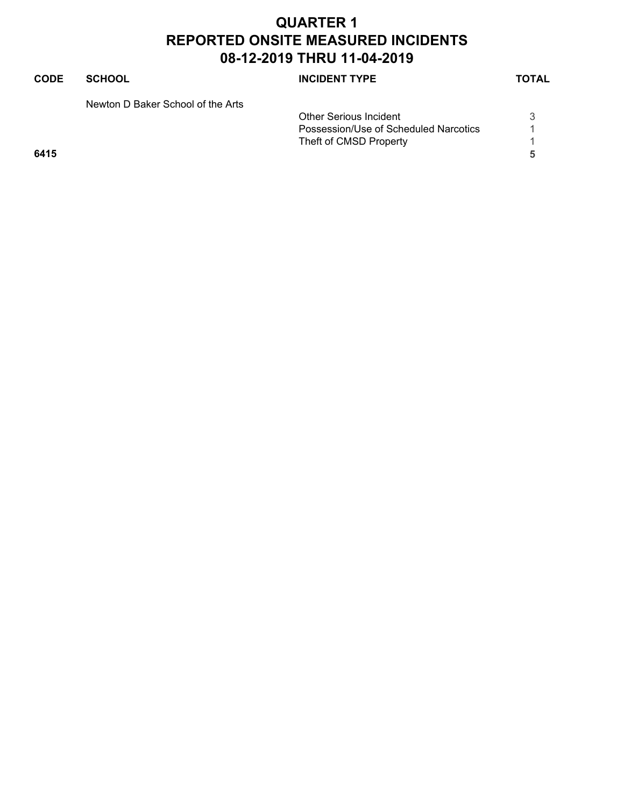| <b>CODE</b> | <b>SCHOOL</b>                     | <b>INCIDENT TYPE</b>                  | <b>TOTAL</b> |
|-------------|-----------------------------------|---------------------------------------|--------------|
|             | Newton D Baker School of the Arts |                                       |              |
|             |                                   | <b>Other Serious Incident</b>         | 3            |
|             |                                   | Possession/Use of Scheduled Narcotics |              |
|             |                                   | Theft of CMSD Property                |              |
| 6415        |                                   |                                       | 5            |
|             |                                   |                                       |              |
|             |                                   |                                       |              |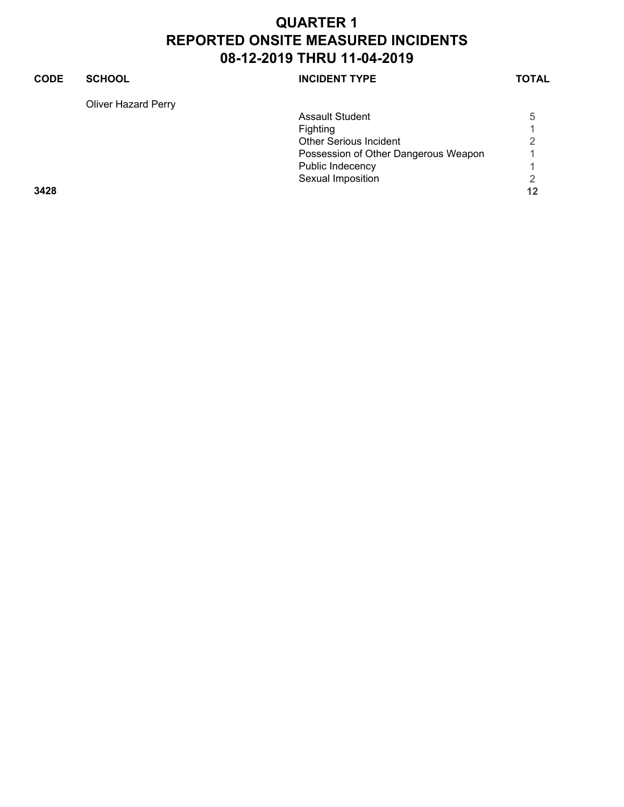#### **CODE SCHOOL SCHOOL INCIDENT TYPE TOTAL** Oliver Hazard Perry Assault Student 5 Fighting 1<br>Other Serious Incident 1 Other Serious Incident Possession of Other Dangerous Weapon 1 Public Indecency 1 Sexual Imposition 2<br>12 **3428 12**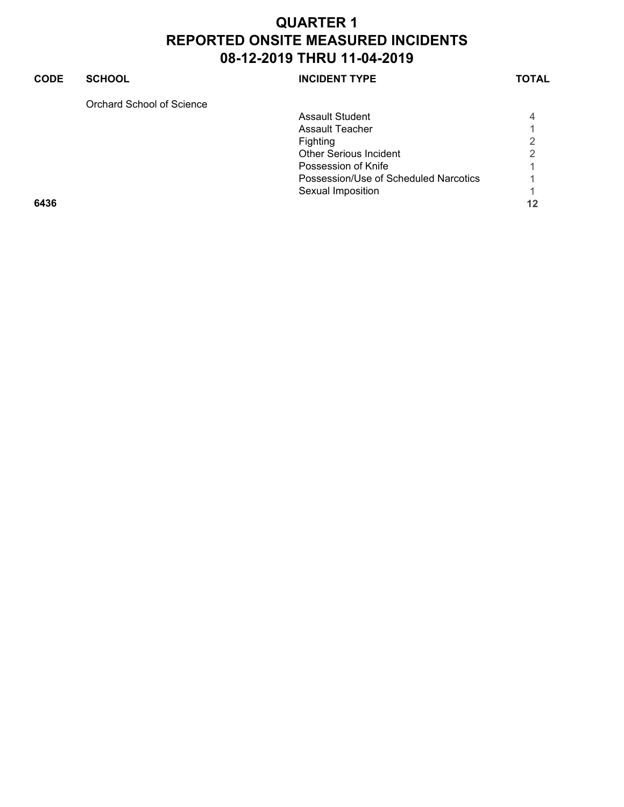#### **CODE SCHOOL SCHOOL INCIDENT TYPE TOTAL** Orchard School of Science Assault Student 4 Assault Teacher 1<br>
Fighting 2 Fighting 2<br>Other Serious Incident 2 Other Serious Incident Possession of Knife 1 and 1 and 1 and 1 and 1 and 1 and 1 and 1 and 1 and 1 and 1 and 1 and 1 and 1 and 1 and 1 Possession/Use of Scheduled Narcotics 1 Sexual Imposition 1

**6436 12**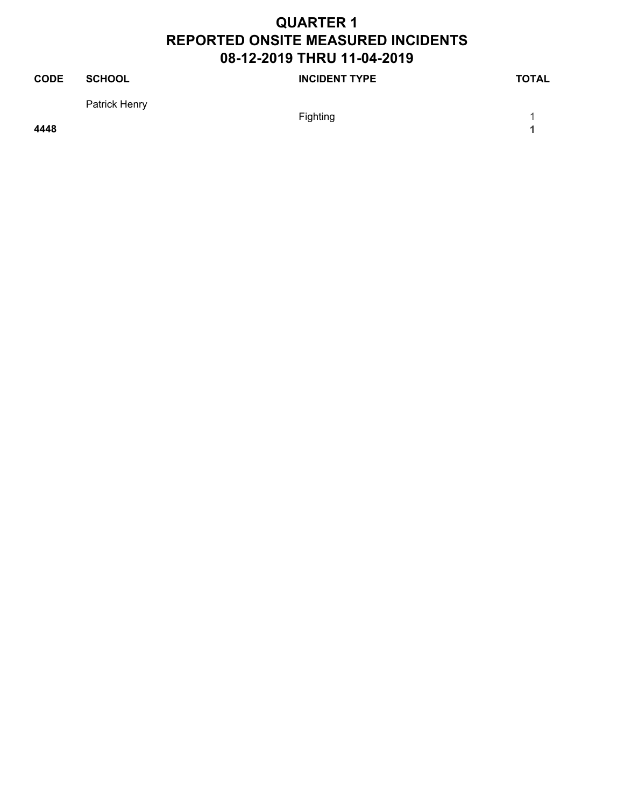| <b>CODE</b> | SCHOOL        | <b>INCIDENT TYPE</b> | <b>TOTAL</b> |
|-------------|---------------|----------------------|--------------|
|             | Patrick Henry |                      |              |
|             |               | Fighting             |              |

**4448 1**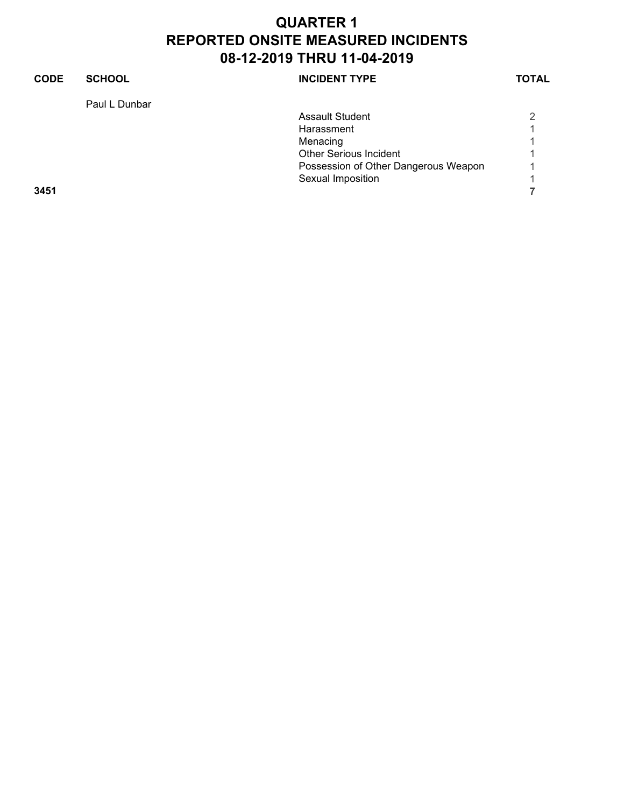| <b>CODE</b> | <b>SCHOOL</b> | <b>INCIDENT TYPE</b>                 | TOTAL |
|-------------|---------------|--------------------------------------|-------|
|             | Paul L Dunbar |                                      |       |
|             |               | <b>Assault Student</b>               | っ     |
|             |               | Harassment                           |       |
|             |               | Menacing                             |       |
|             |               | <b>Other Serious Incident</b>        |       |
|             |               | Possession of Other Dangerous Weapon |       |
|             |               | Sexual Imposition                    |       |
| 3451        |               |                                      |       |
|             |               |                                      |       |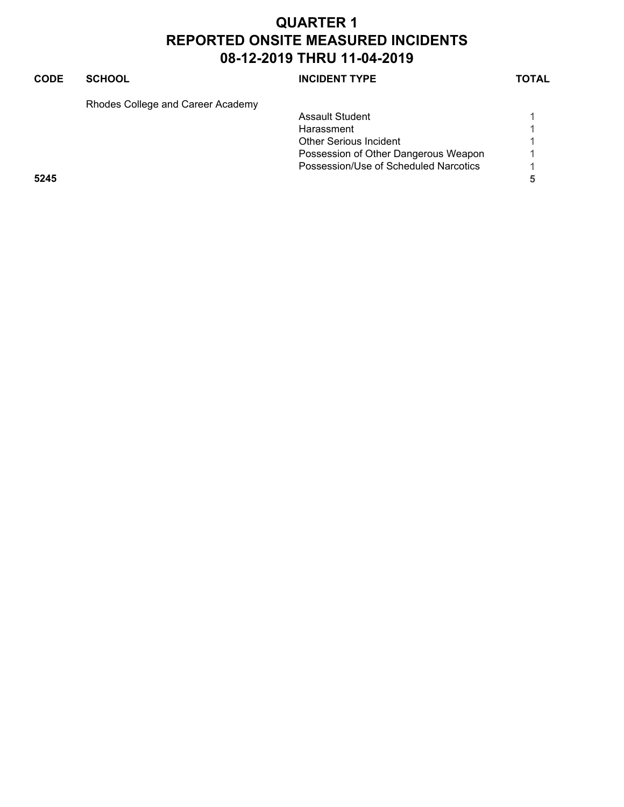#### **CODE SCHOOL SCHOOL INCIDENT TYPE TOTAL**

Rhodes College and Career Academy

|      | <b>Assault Student</b>                |                          |
|------|---------------------------------------|--------------------------|
|      | Harassment                            |                          |
|      | <b>Other Serious Incident</b>         |                          |
|      | Possession of Other Dangerous Weapon  | $\overline{\mathcal{A}}$ |
|      | Possession/Use of Scheduled Narcotics |                          |
| 5245 |                                       |                          |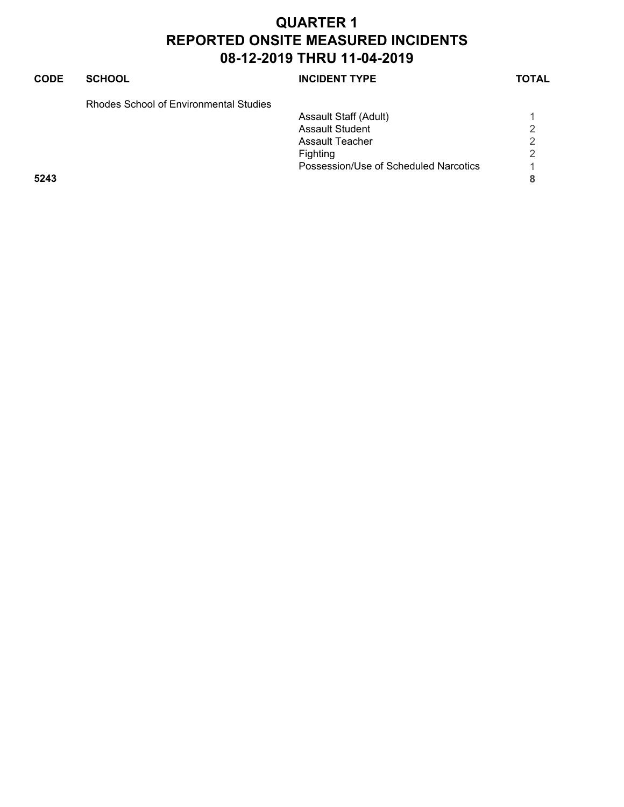| <b>CODE</b> | <b>SCHOOL</b>                          | <b>INCIDENT TYPE</b>                  | <b>TOTAL</b>   |
|-------------|----------------------------------------|---------------------------------------|----------------|
|             | Rhodes School of Environmental Studies |                                       |                |
|             |                                        | Assault Staff (Adult)                 |                |
|             |                                        | <b>Assault Student</b>                | 2              |
|             |                                        | Assault Teacher                       | 2              |
|             |                                        | Fighting                              | $\mathfrak{D}$ |
|             |                                        | Possession/Use of Scheduled Narcotics |                |
| 5243        |                                        |                                       | 8              |
|             |                                        |                                       |                |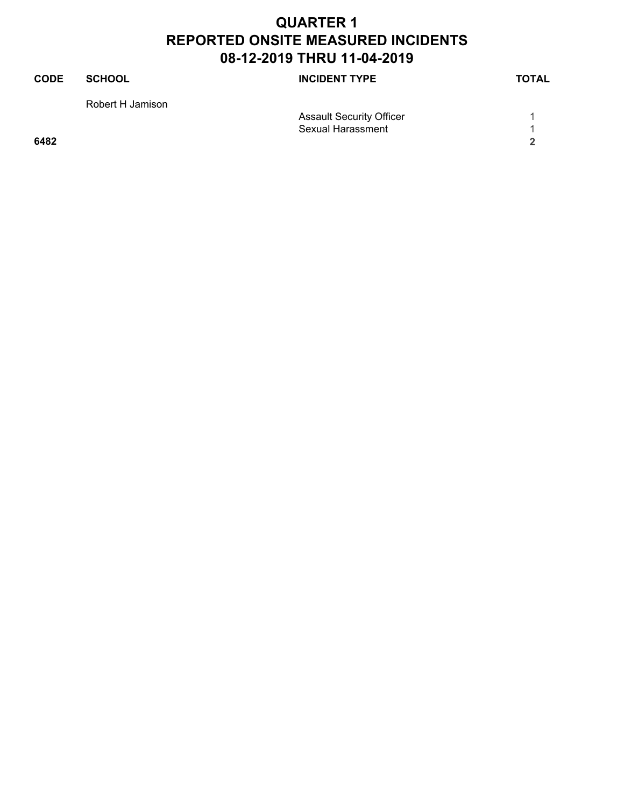| <b>CODE</b> | <b>SCHOOL</b>    | <b>INCIDENT TYPE</b>            | <b>TOTAL</b> |
|-------------|------------------|---------------------------------|--------------|
|             | Robert H Jamison |                                 |              |
|             |                  | <b>Assault Security Officer</b> |              |
|             |                  | <b>Sexual Harassment</b>        |              |
| 6482        |                  |                                 | ີ            |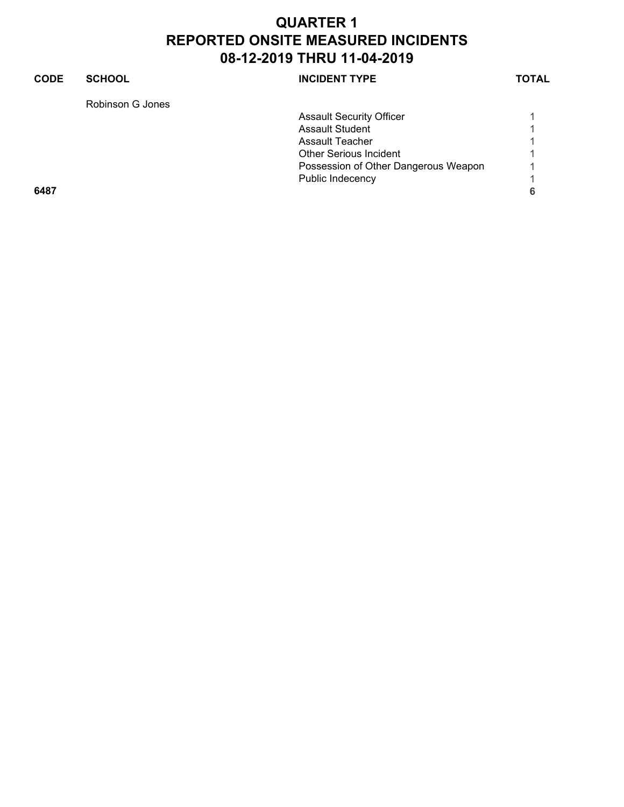### **CODE SCHOOL SCHOOL INCIDENT TYPE TOTAL** Robinson G Jones Assault Security Officer 1 1 Assault Student 1 Assault Teacher 1 Other Serious Incident 1 Possession of Other Dangerous Weapon 1 Public Indecency 1 **6487 6**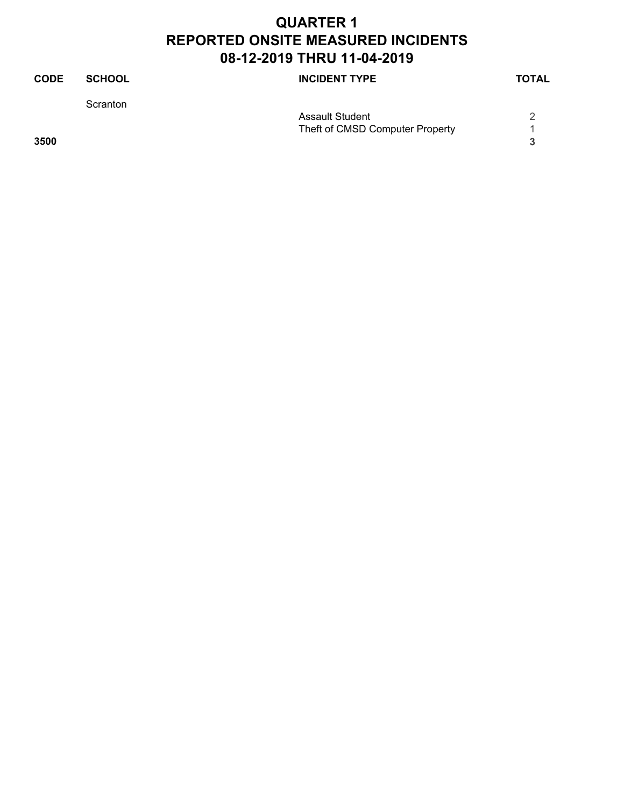| <b>CODE</b> | <b>SCHOOL</b> | <b>INCIDENT TYPE</b>            | <b>TOTAL</b> |
|-------------|---------------|---------------------------------|--------------|
|             | Scranton      |                                 |              |
|             |               | <b>Assault Student</b>          |              |
|             |               | Theft of CMSD Computer Property |              |
| 3500        |               |                                 |              |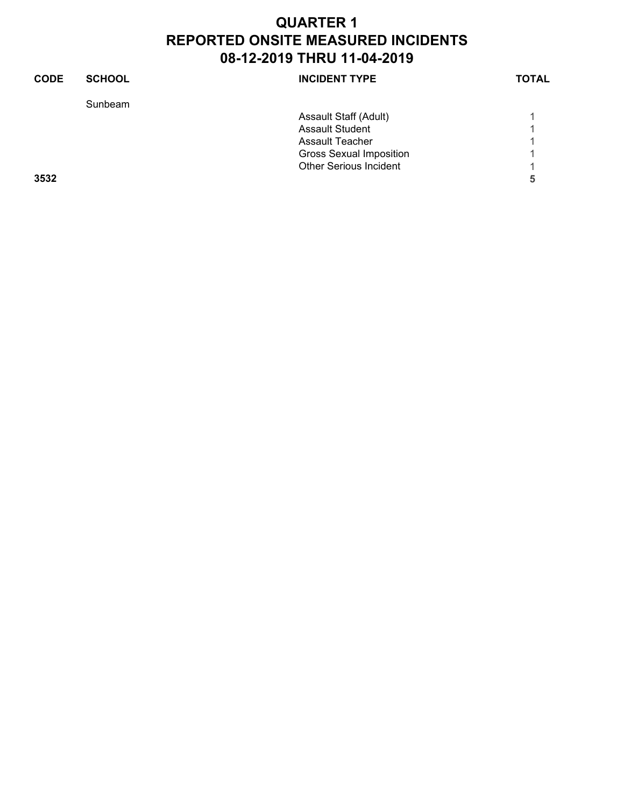| <b>CODE</b> | <b>SCHOOL</b> | <b>INCIDENT TYPE</b>           | <b>TOTAL</b> |
|-------------|---------------|--------------------------------|--------------|
|             | Sunbeam       |                                |              |
|             |               | Assault Staff (Adult)          |              |
|             |               | <b>Assault Student</b>         |              |
|             |               | <b>Assault Teacher</b>         |              |
|             |               | <b>Gross Sexual Imposition</b> |              |
|             |               | <b>Other Serious Incident</b>  |              |
| 3532        |               |                                | 5            |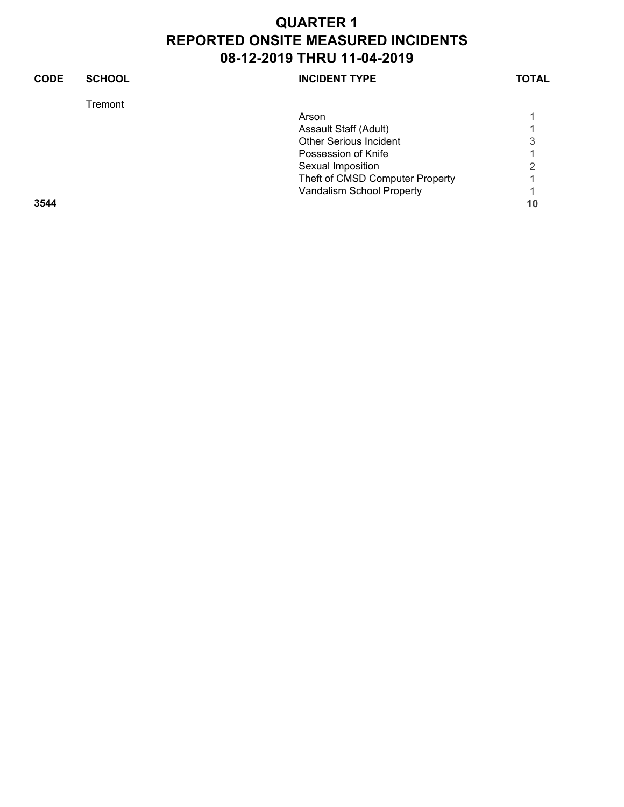| <b>CODE</b> | <b>SCHOOL</b> | <b>INCIDENT TYPE</b>            | TOTAL |
|-------------|---------------|---------------------------------|-------|
|             | Tremont       |                                 |       |
|             |               | Arson                           |       |
|             |               | Assault Staff (Adult)           |       |
|             |               | <b>Other Serious Incident</b>   | 3     |
|             |               | Possession of Knife             |       |
|             |               | Sexual Imposition               | ◠     |
|             |               | Theft of CMSD Computer Property |       |
|             |               | Vandalism School Property       |       |
| 3544        |               |                                 | 10    |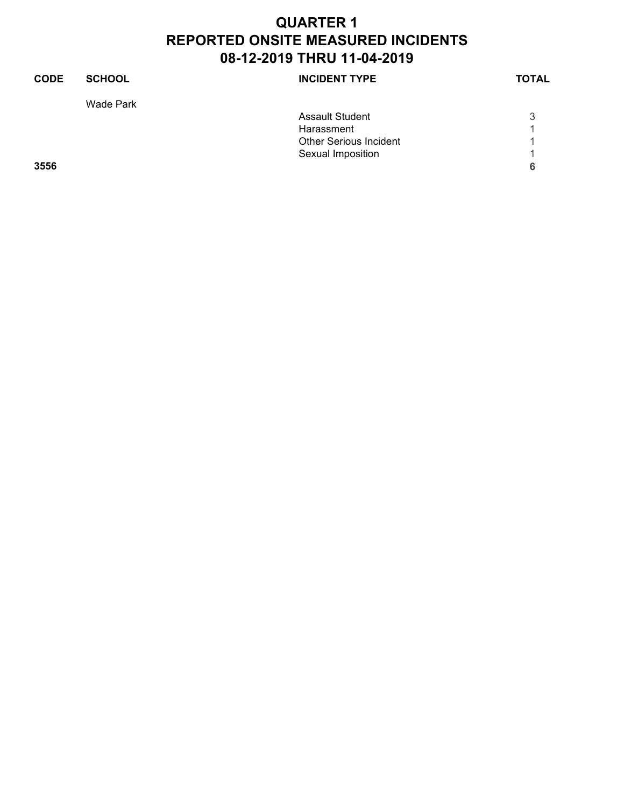| <b>CODE</b> | <b>SCHOOL</b> | <b>INCIDENT TYPE</b>          | <b>TOTAL</b> |
|-------------|---------------|-------------------------------|--------------|
|             | Wade Park     |                               |              |
|             |               | <b>Assault Student</b>        | 3            |
|             |               | Harassment                    |              |
|             |               | <b>Other Serious Incident</b> |              |
|             |               | Sexual Imposition             |              |
| 3556        |               |                               | 6            |
|             |               |                               |              |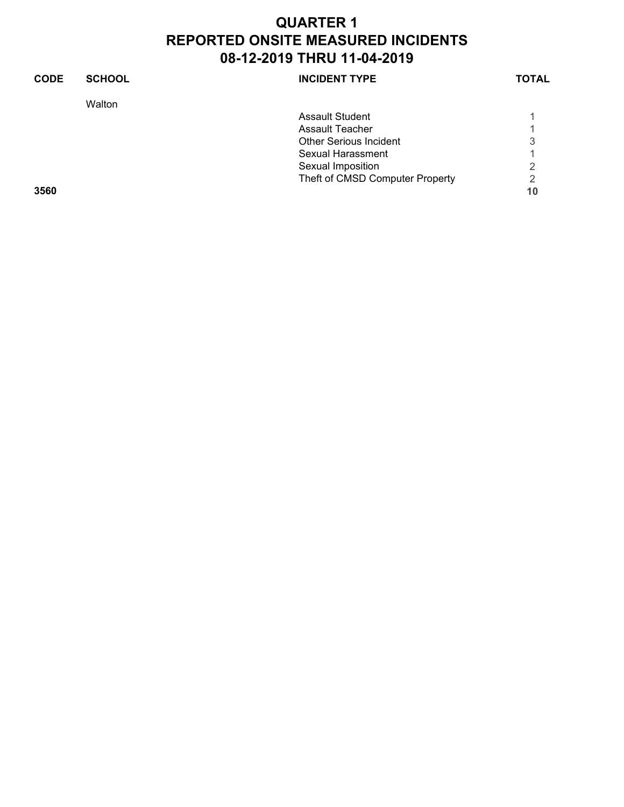| <b>CODE</b> | <b>SCHOOL</b> | <b>INCIDENT TYPE</b>            | <b>TOTAL</b> |
|-------------|---------------|---------------------------------|--------------|
|             | Walton        |                                 |              |
|             |               | Assault Student                 |              |
|             |               | Assault Teacher                 |              |
|             |               | <b>Other Serious Incident</b>   | 3            |
|             |               | Sexual Harassment               |              |
|             |               | Sexual Imposition               | 2            |
|             |               | Theft of CMSD Computer Property | 2            |
| 3560        |               |                                 | 10           |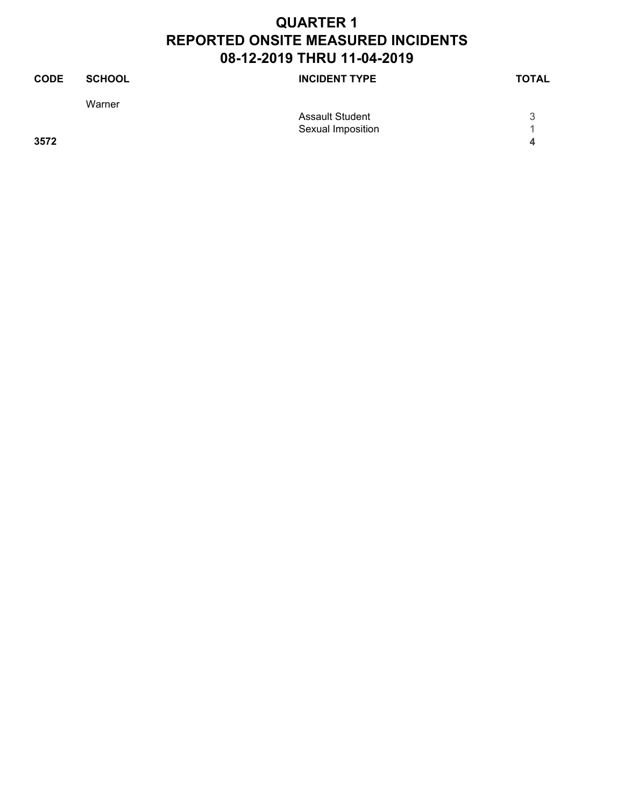| <b>CODE</b> | <b>SCHOOL</b> | <b>INCIDENT TYPE</b>   | <b>TOTAL</b> |
|-------------|---------------|------------------------|--------------|
|             | Warner        |                        |              |
|             |               | <b>Assault Student</b> | 3            |
|             |               | Sexual Imposition      |              |
| 3572        |               |                        | Δ            |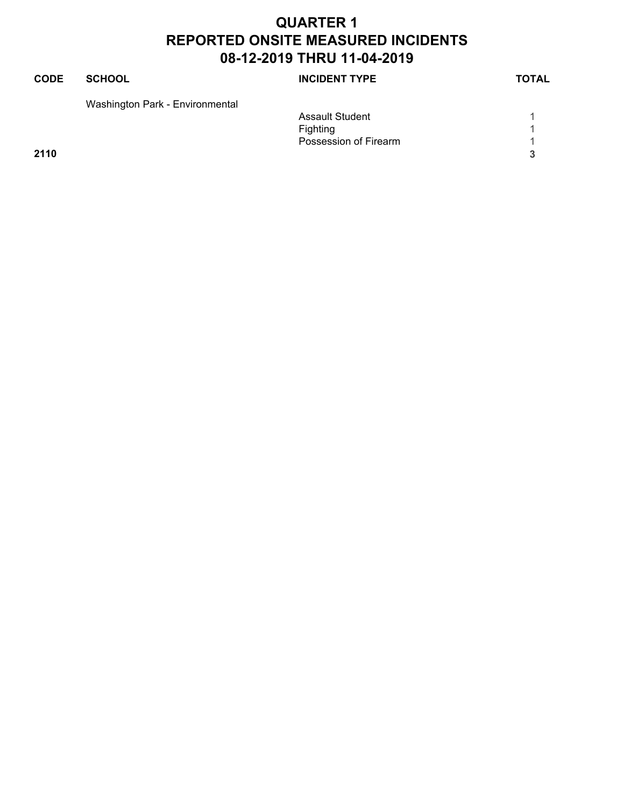#### **CODE SCHOOL SCHOOL INCIDENT TYPE TOTAL** Washington Park - Environmental Assault Student 1 1 Fighting 1<br>Possession of Firearm 1 Possession of Firearm 1

**2110 3**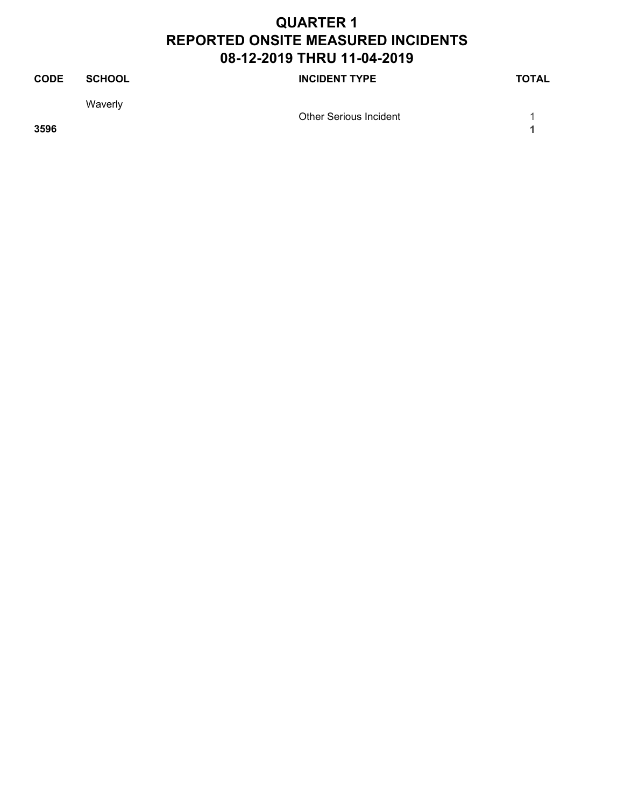| <b>CODE</b> | <b>SCHOOL</b> | <b>INCIDENT TYPE</b>          | <b>TOTAL</b> |
|-------------|---------------|-------------------------------|--------------|
|             | Waverly       | <b>Other Serious Incident</b> |              |
| 3596        |               |                               |              |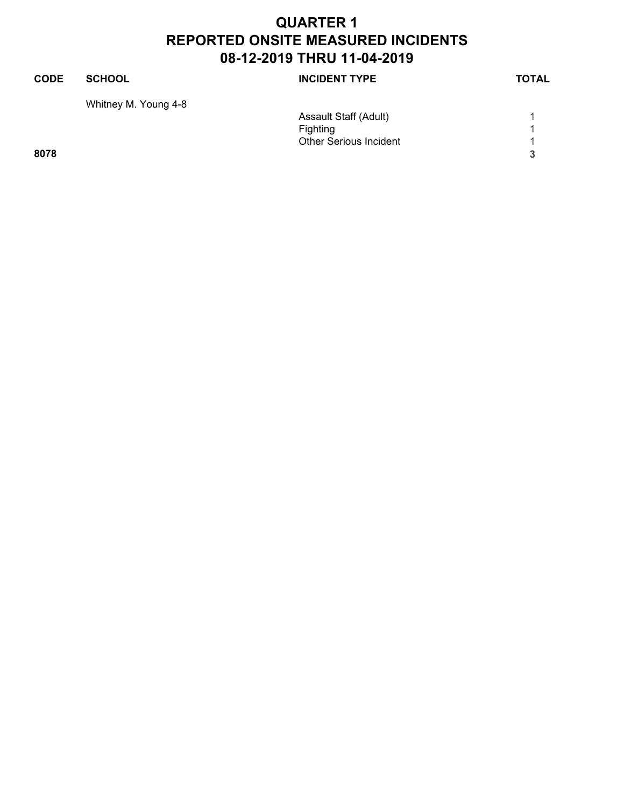| <b>CODE</b> | <b>SCHOOL</b>        | <b>INCIDENT TYPE</b>          | <b>TOTAL</b> |
|-------------|----------------------|-------------------------------|--------------|
|             | Whitney M. Young 4-8 |                               |              |
|             |                      | Assault Staff (Adult)         |              |
|             |                      | Fighting                      |              |
|             |                      | <b>Other Serious Incident</b> |              |
| 8078        |                      |                               | 3            |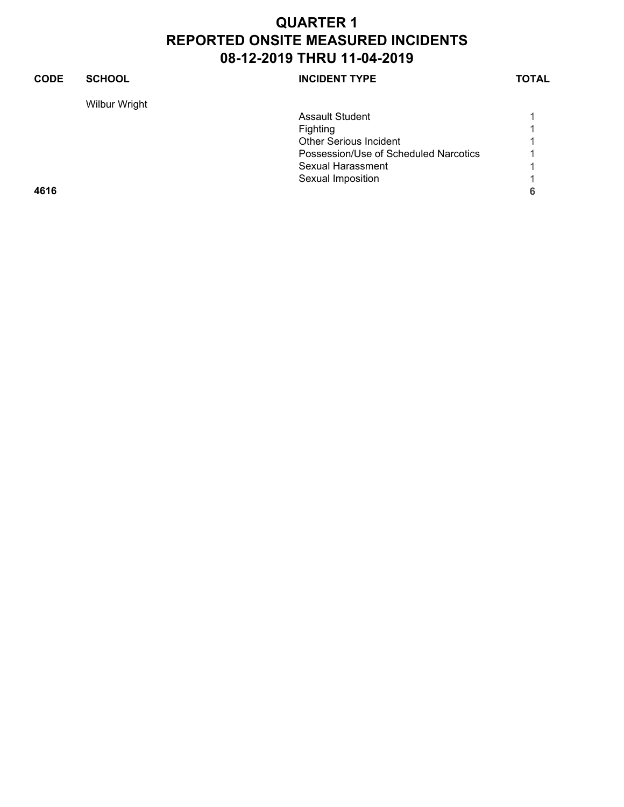| <b>CODE</b> | <b>SCHOOL</b> | <b>INCIDENT TYPE</b>                  | <b>TOTAL</b> |
|-------------|---------------|---------------------------------------|--------------|
|             | Wilbur Wright |                                       |              |
|             |               | <b>Assault Student</b>                |              |
|             |               | <b>Fighting</b>                       |              |
|             |               | <b>Other Serious Incident</b>         |              |
|             |               | Possession/Use of Scheduled Narcotics |              |
|             |               | Sexual Harassment                     |              |
|             |               | Sexual Imposition                     |              |
| 4616        |               |                                       | 6            |
|             |               |                                       |              |
|             |               |                                       |              |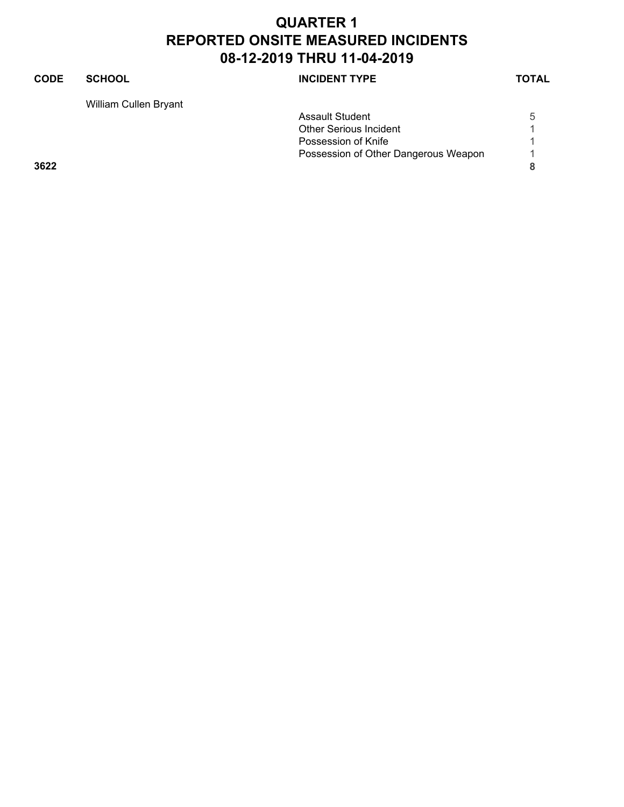#### **CODE SCHOOL SCHOOL INCIDENT TYPE TOTAL** William Cullen Bryant Assault Student 5 Other Serious Incident 1<br>Possession of Knife 1 Possession of Knife Possession of Other Dangerous Weapon 1 **3622 8**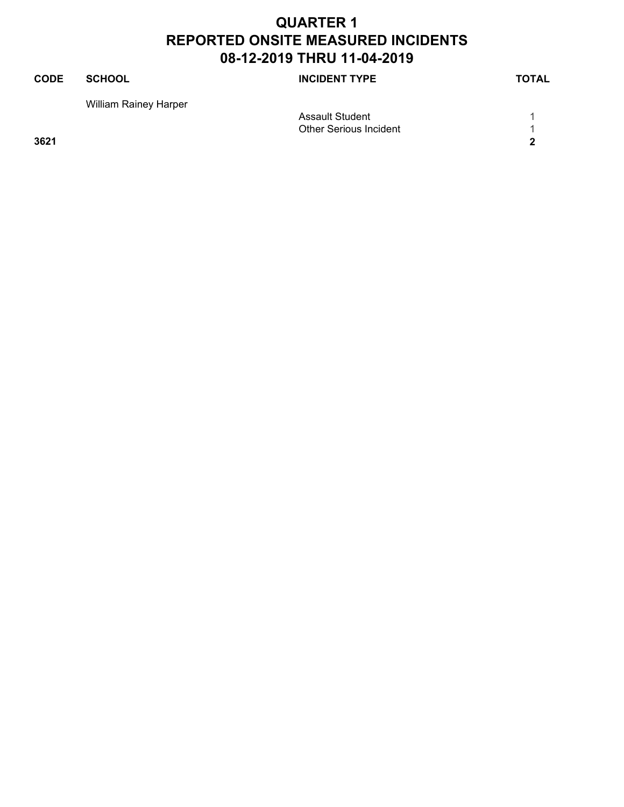| <b>CODE</b> | <b>SCHOOL</b>                | <b>INCIDENT TYPE</b>          | <b>TOTAL</b> |
|-------------|------------------------------|-------------------------------|--------------|
|             | <b>William Rainey Harper</b> |                               |              |
|             |                              | Assault Student               |              |
|             |                              | <b>Other Serious Incident</b> |              |
| 3621        |                              |                               | າ            |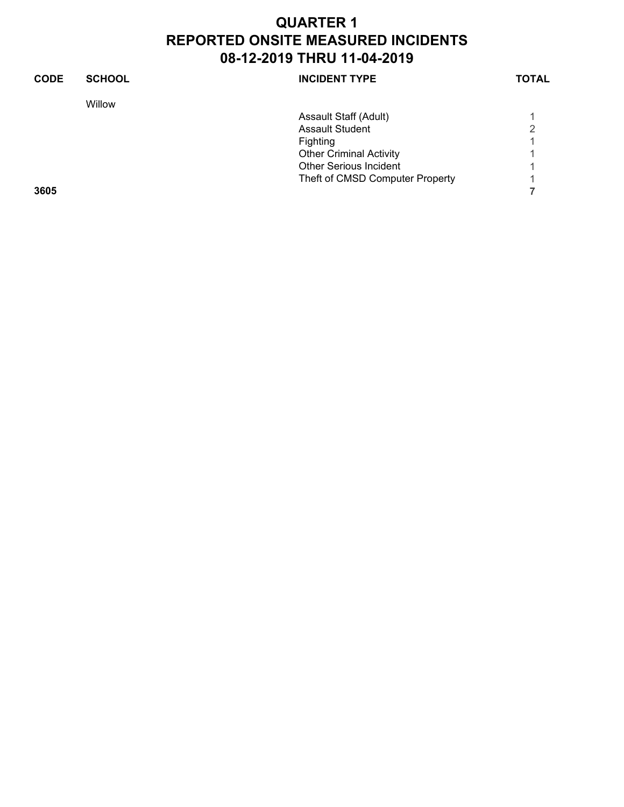| <b>CODE</b> | <b>SCHOOL</b> | <b>INCIDENT TYPE</b>            | <b>TOTAL</b> |
|-------------|---------------|---------------------------------|--------------|
|             | Willow        |                                 |              |
|             |               | Assault Staff (Adult)           |              |
|             |               | <b>Assault Student</b>          | 2            |
|             |               | Fighting                        |              |
|             |               | <b>Other Criminal Activity</b>  |              |
|             |               | <b>Other Serious Incident</b>   |              |
|             |               | Theft of CMSD Computer Property |              |
| 3605        |               |                                 |              |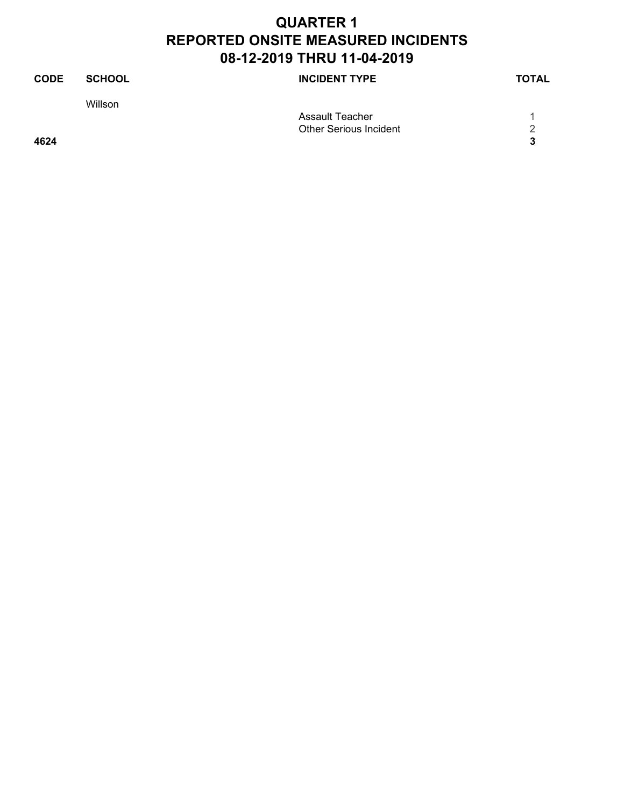| <b>CODE</b> | <b>SCHOOL</b> | <b>INCIDENT TYPE</b>          | <b>TOTAL</b> |
|-------------|---------------|-------------------------------|--------------|
|             | Willson       |                               |              |
|             |               | Assault Teacher               |              |
|             |               | <b>Other Serious Incident</b> | っ            |
| 4624        |               |                               | 3            |